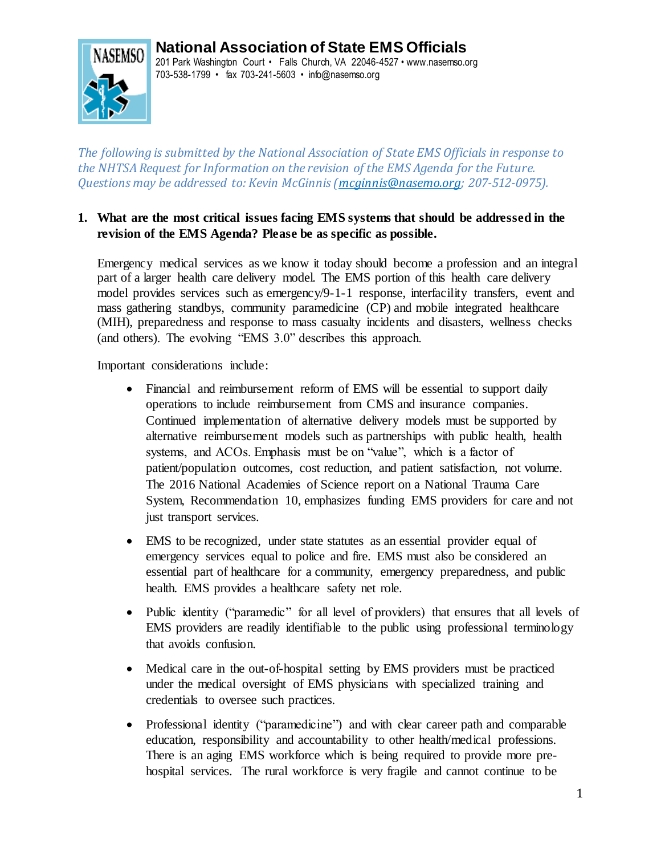# **National Association of State EMS Officials**



201 Park Washington Court • Falls Church, VA 22046-4527 • www.nasemso.org 703-538-1799 • fax 703-241-5603 • info@nasemso.org

*The following is submitted by the National Association of State EMS Officials in response to the NHTSA Request for Information on the revision of the EMS Agenda for the Future. Questions may be addressed to: Kevin McGinnis [\(mcginnis@nasemo.org;](mailto:mcginnis@nasemo.org) 207-512-0975).*

#### **1. What are the most critical issues facing EMS systems that should be addressed in the revision of the EMS Agenda? Please be as specific as possible.**

Emergency medical services as we know it today should become a profession and an integral part of a larger health care delivery model. The EMS portion of this health care delivery model provides services such as emergency/9-1-1 response, interfacility transfers, event and mass gathering standbys, community paramedicine (CP) and mobile integrated healthcare (MIH), preparedness and response to mass casualty incidents and disasters, wellness checks (and others). The evolving "EMS 3.0" describes this approach.

Important considerations include:

- Financial and reimbursement reform of EMS will be essential to support daily operations to include reimbursement from CMS and insurance companies. Continued implementation of alternative delivery models must be supported by alternative reimbursement models such as partnerships with public health, health systems, and ACOs. Emphasis must be on "value", which is a factor of patient/population outcomes, cost reduction, and patient satisfaction, not volume. The 2016 National Academies of Science report on a National Trauma Care System, Recommendation 10, emphasizes funding EMS providers for care and not just transport services.
- EMS to be recognized, under state statutes as an essential provider equal of emergency services equal to police and fire. EMS must also be considered an essential part of healthcare for a community, emergency preparedness, and public health. EMS provides a healthcare safety net role.
- Public identity ("paramedic" for all level of providers) that ensures that all levels of EMS providers are readily identifiable to the public using professional terminology that avoids confusion.
- Medical care in the out-of-hospital setting by EMS providers must be practiced under the medical oversight of EMS physicians with specialized training and credentials to oversee such practices.
- Professional identity ("paramedicine") and with clear career path and comparable education, responsibility and accountability to other health/medical professions. There is an aging EMS workforce which is being required to provide more prehospital services. The rural workforce is very fragile and cannot continue to be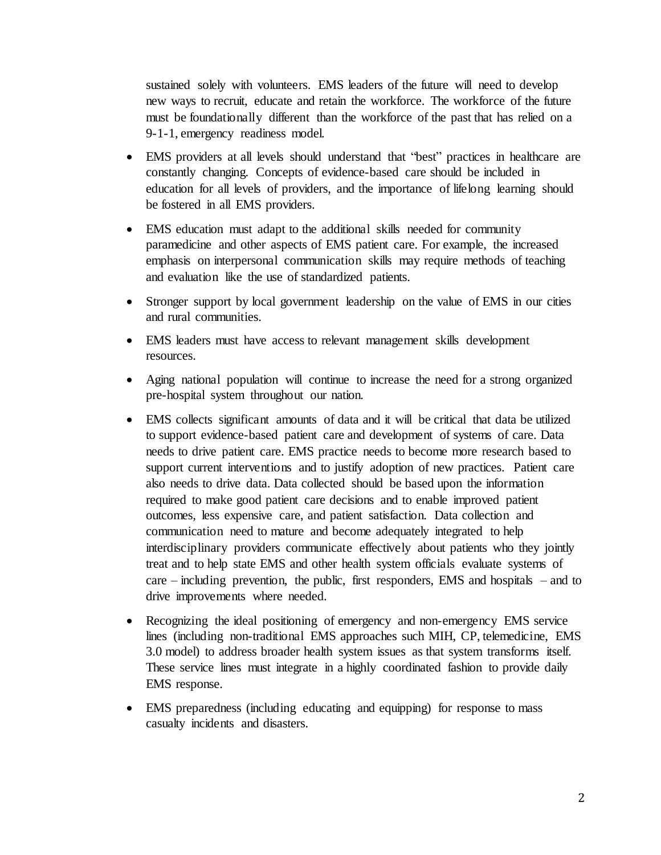sustained solely with volunteers. EMS leaders of the future will need to develop new ways to recruit, educate and retain the workforce. The workforce of the future must be foundationally different than the workforce of the past that has relied on a 9-1-1, emergency readiness model.

- EMS providers at all levels should understand that "best" practices in healthcare are constantly changing. Concepts of evidence-based care should be included in education for all levels of providers, and the importance of lifelong learning should be fostered in all EMS providers.
- EMS education must adapt to the additional skills needed for community paramedicine and other aspects of EMS patient care. For example, the increased emphasis on interpersonal communication skills may require methods of teaching and evaluation like the use of standardized patients.
- Stronger support by local government leadership on the value of EMS in our cities and rural communities.
- EMS leaders must have access to relevant management skills development resources.
- Aging national population will continue to increase the need for a strong organized pre-hospital system throughout our nation.
- EMS collects significant amounts of data and it will be critical that data be utilized to support evidence-based patient care and development of systems of care. Data needs to drive patient care. EMS practice needs to become more research based to support current interventions and to justify adoption of new practices. Patient care also needs to drive data. Data collected should be based upon the information required to make good patient care decisions and to enable improved patient outcomes, less expensive care, and patient satisfaction. Data collection and communication need to mature and become adequately integrated to help interdisciplinary providers communicate effectively about patients who they jointly treat and to help state EMS and other health system officials evaluate systems of care – including prevention, the public, first responders, EMS and hospitals – and to drive improvements where needed.
- Recognizing the ideal positioning of emergency and non-emergency EMS service lines (including non-traditional EMS approaches such MIH, CP, telemedicine, EMS 3.0 model) to address broader health system issues as that system transforms itself. These service lines must integrate in a highly coordinated fashion to provide daily EMS response.
- EMS preparedness (including educating and equipping) for response to mass casualty incidents and disasters.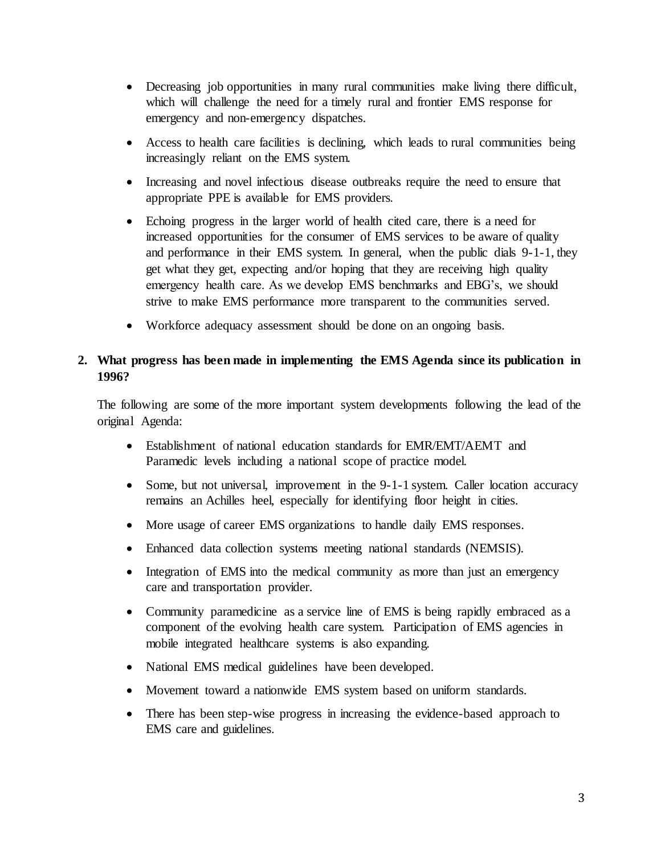- Decreasing job opportunities in many rural communities make living there difficult, which will challenge the need for a timely rural and frontier EMS response for emergency and non-emergency dispatches.
- Access to health care facilities is declining, which leads to rural communities being increasingly reliant on the EMS system.
- Increasing and novel infectious disease outbreaks require the need to ensure that appropriate PPE is available for EMS providers.
- Echoing progress in the larger world of health cited care, there is a need for increased opportunities for the consumer of EMS services to be aware of quality and performance in their EMS system. In general, when the public dials 9-1-1, they get what they get, expecting and/or hoping that they are receiving high quality emergency health care. As we develop EMS benchmarks and EBG's, we should strive to make EMS performance more transparent to the communities served.
- Workforce adequacy assessment should be done on an ongoing basis.

#### **2. What progress has been made in implementing the EMS Agenda since its publication in 1996?**

The following are some of the more important system developments following the lead of the original Agenda:

- Establishment of national education standards for EMR/EMT/AEMT and Paramedic levels including a national scope of practice model.
- Some, but not universal, improvement in the 9-1-1 system. Caller location accuracy remains an Achilles heel, especially for identifying floor height in cities.
- More usage of career EMS organizations to handle daily EMS responses.
- Enhanced data collection systems meeting national standards (NEMSIS).
- Integration of EMS into the medical community as more than just an emergency care and transportation provider.
- Community paramedicine as a service line of EMS is being rapidly embraced as a component of the evolving health care system. Participation of EMS agencies in mobile integrated healthcare systems is also expanding.
- National EMS medical guidelines have been developed.
- Movement toward a nationwide EMS system based on uniform standards.
- There has been step-wise progress in increasing the evidence-based approach to EMS care and guidelines.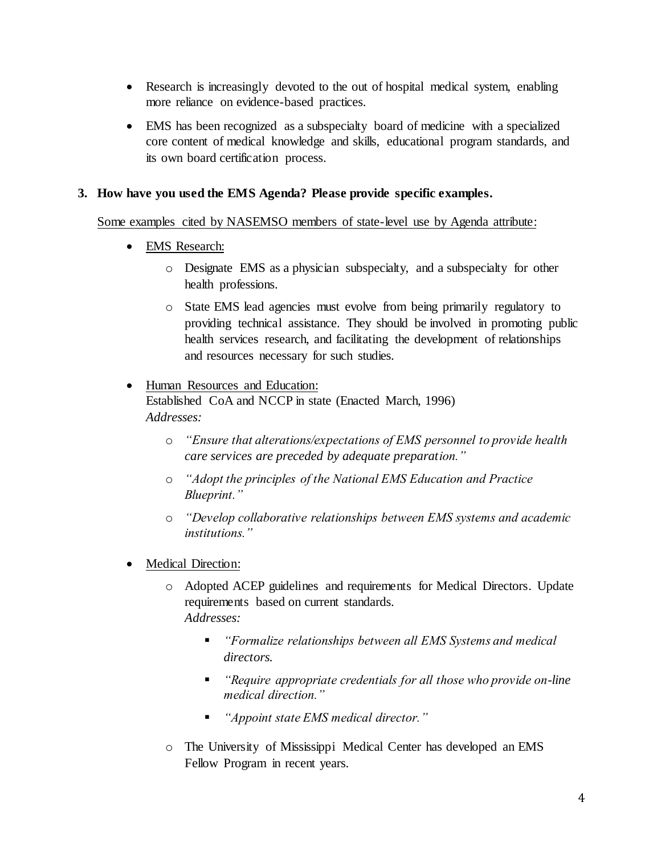- Research is increasingly devoted to the out of hospital medical system, enabling more reliance on evidence-based practices.
- EMS has been recognized as a subspecialty board of medicine with a specialized core content of medical knowledge and skills, educational program standards, and its own board certification process.

#### **3. How have you used the EMS Agenda? Please provide specific examples.**

Some examples cited by NASEMSO members of state-level use by Agenda attribute:

- EMS Research:
	- o Designate EMS as a physician subspecialty, and a subspecialty for other health professions.
	- o State EMS lead agencies must evolve from being primarily regulatory to providing technical assistance. They should be involved in promoting public health services research, and facilitating the development of relationships and resources necessary for such studies.

# Human Resources and Education: Established CoA and NCCP in state (Enacted March, 1996) *Addresses:*

- o *"Ensure that alterations/expectations of EMS personnel to provide health care services are preceded by adequate preparation."*
- o *"Adopt the principles of the National EMS Education and Practice Blueprint."*
- o *"Develop collaborative relationships between EMS systems and academic institutions."*
- Medical Direction:
	- o Adopted ACEP guidelines and requirements for Medical Directors. Update requirements based on current standards. *Addresses:*
		- *"Formalize relationships between all EMS Systems and medical directors.*
		- *"Require appropriate credentials for all those who provide on-line medical direction."*
		- *"Appoint state EMS medical director."*
	- o The University of Mississippi Medical Center has developed an EMS Fellow Program in recent years.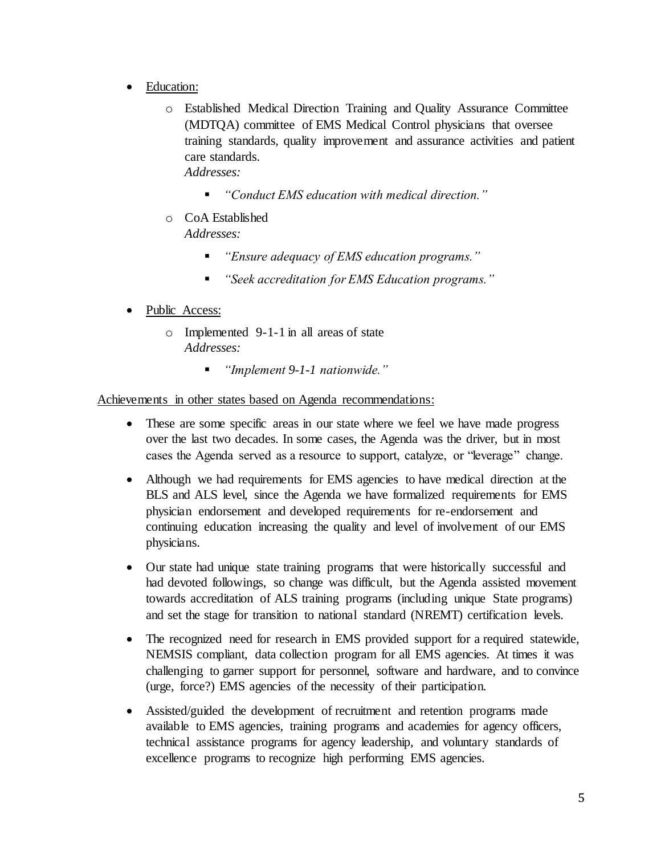- Education:
	- o Established Medical Direction Training and Quality Assurance Committee (MDTQA) committee of EMS Medical Control physicians that oversee training standards, quality improvement and assurance activities and patient care standards. *Addresses:*
		- *"Conduct EMS education with medical direction."*
	- o CoA Established *Addresses:*
		- *"Ensure adequacy of EMS education programs."*
		- *"Seek accreditation for EMS Education programs."*
- Public Access:
	- o Implemented 9-1-1 in all areas of state *Addresses:*
		- *"Implement 9-1-1 nationwide."*

Achievements in other states based on Agenda recommendations:

- These are some specific areas in our state where we feel we have made progress over the last two decades. In some cases, the Agenda was the driver, but in most cases the Agenda served as a resource to support, catalyze, or "leverage" change.
- Although we had requirements for EMS agencies to have medical direction at the BLS and ALS level, since the Agenda we have formalized requirements for EMS physician endorsement and developed requirements for re-endorsement and continuing education increasing the quality and level of involvement of our EMS physicians.
- Our state had unique state training programs that were historically successful and had devoted followings, so change was difficult, but the Agenda assisted movement towards accreditation of ALS training programs (including unique State programs) and set the stage for transition to national standard (NREMT) certification levels.
- The recognized need for research in EMS provided support for a required statewide, NEMSIS compliant, data collection program for all EMS agencies. At times it was challenging to garner support for personnel, software and hardware, and to convince (urge, force?) EMS agencies of the necessity of their participation.
- Assisted/guided the development of recruitment and retention programs made available to EMS agencies, training programs and academies for agency officers, technical assistance programs for agency leadership, and voluntary standards of excellence programs to recognize high performing EMS agencies.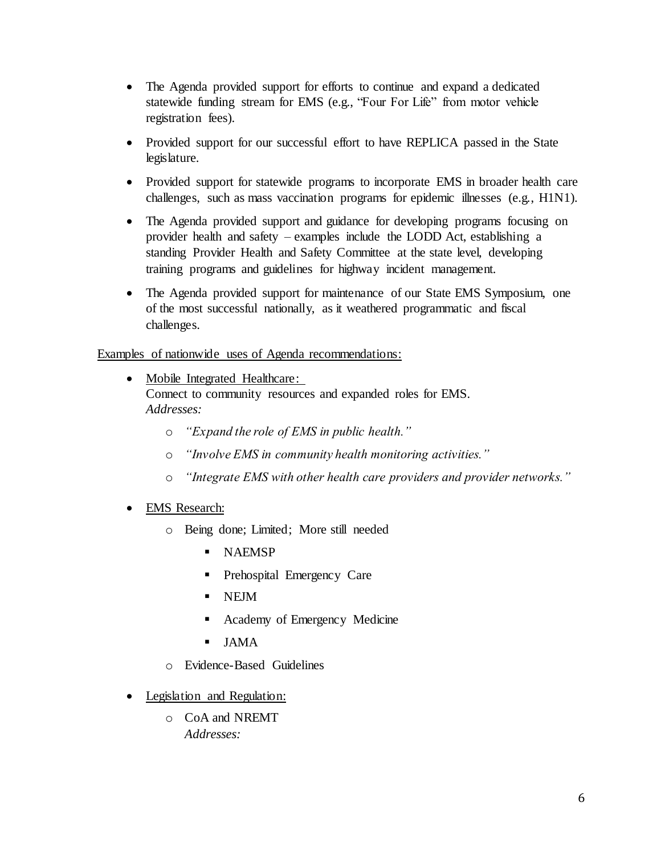- The Agenda provided support for efforts to continue and expand a dedicated statewide funding stream for EMS (e.g., "Four For Life" from motor vehicle registration fees).
- Provided support for our successful effort to have REPLICA passed in the State legislature.
- Provided support for statewide programs to incorporate EMS in broader health care challenges, such as mass vaccination programs for epidemic illnesses (e.g., H1N1).
- The Agenda provided support and guidance for developing programs focusing on provider health and safety – examples include the LODD Act, establishing a standing Provider Health and Safety Committee at the state level, developing training programs and guidelines for highway incident management.
- The Agenda provided support for maintenance of our State EMS Symposium, one of the most successful nationally, as it weathered programmatic and fiscal challenges.

Examples of nationwide uses of Agenda recommendations:

- Mobile Integrated Healthcare: Connect to community resources and expanded roles for EMS. *Addresses:*
	- o *"Expand the role of EMS in public health."*
	- o *"Involve EMS in community health monitoring activities."*
	- o *"Integrate EMS with other health care providers and provider networks."*
- EMS Research:
	- o Being done; Limited; More still needed
		- **NAEMSP**
		- **Prehospital Emergency Care**
		- NEJM
		- **•** Academy of Emergency Medicine
		- JAMA
	- o Evidence-Based Guidelines
- Legislation and Regulation:
	- o CoA and NREMT *Addresses:*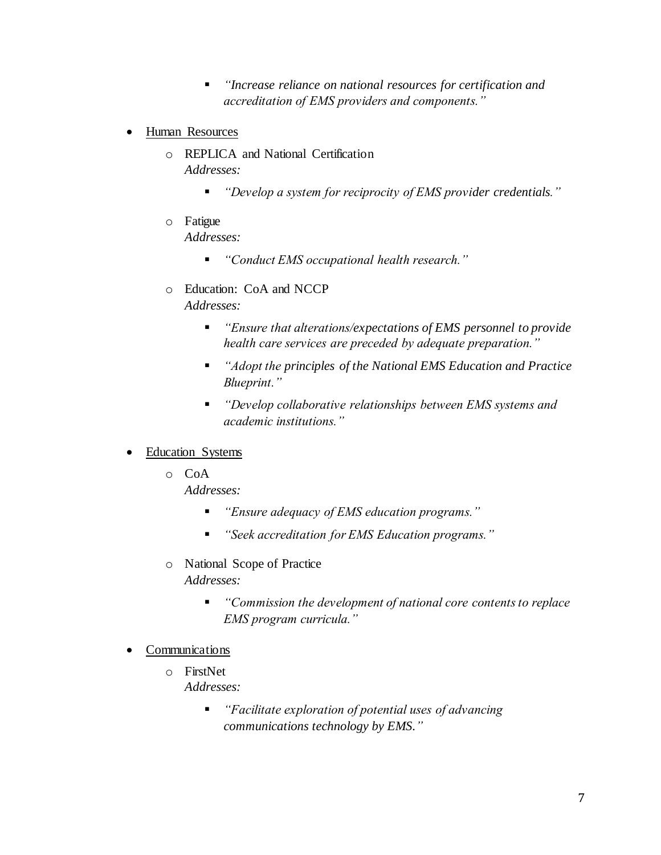- *"Increase reliance on national resources for certification and accreditation of EMS providers and components."*
- Human Resources
	- o REPLICA and National Certification *Addresses:*
		- *"Develop a system for reciprocity of EMS provider credentials."*
	- o Fatigue *Addresses:*
		- *"Conduct EMS occupational health research."*
	- o Education: CoA and NCCP *Addresses:*
		- *"Ensure that alterations/expectations of EMS personnel to provide health care services are preceded by adequate preparation."*
		- *"Adopt the principles of the National EMS Education and Practice Blueprint."*
		- *"Develop collaborative relationships between EMS systems and academic institutions."*
- Education Systems
	- o CoA

*Addresses:*

- *"Ensure adequacy of EMS education programs."*
- *"Seek accreditation for EMS Education programs."*
- o National Scope of Practice *Addresses:*
	- *"Commission the development of national core contents to replace EMS program curricula."*
- Communications
	- o FirstNet *Addresses:*
		- *"Facilitate exploration of potential uses of advancing communications technology by EMS."*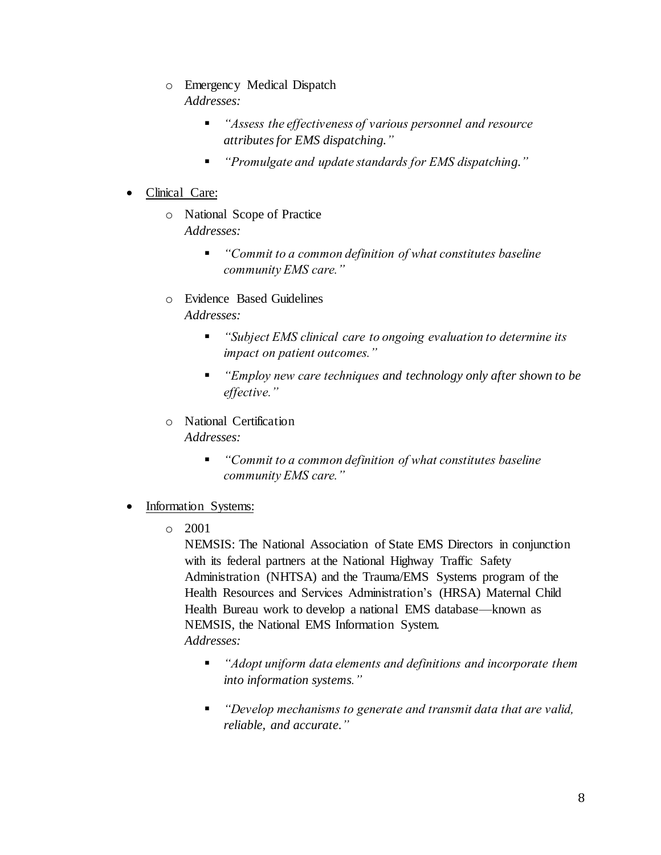- o Emergency Medical Dispatch *Addresses:*
	- *"Assess the effectiveness of various personnel and resource attributes for EMS dispatching."*
	- *"Promulgate and update standards for EMS dispatching."*

### Clinical Care:

- o National Scope of Practice *Addresses:*
	- *"Commit to a common definition of what constitutes baseline community EMS care."*
- o Evidence Based Guidelines *Addresses:*
	- *"Subject EMS clinical care to ongoing evaluation to determine its impact on patient outcomes."*
	- *"Employ new care techniques and technology only after shown to be effective."*
- o National Certification *Addresses:*
	- *"Commit to a common definition of what constitutes baseline community EMS care."*

#### Information Systems:

o 2001

NEMSIS: The National Association of State EMS Directors in conjunction with its federal partners at the National Highway Traffic Safety Administration (NHTSA) and the Trauma/EMS Systems program of the Health Resources and Services Administration's (HRSA) Maternal Child Health Bureau work to develop a national EMS database—known as NEMSIS, the National EMS Information System. *Addresses:*

- *"Adopt uniform data elements and definitions and incorporate them into information systems."*
- *"Develop mechanisms to generate and transmit data that are valid, reliable, and accurate."*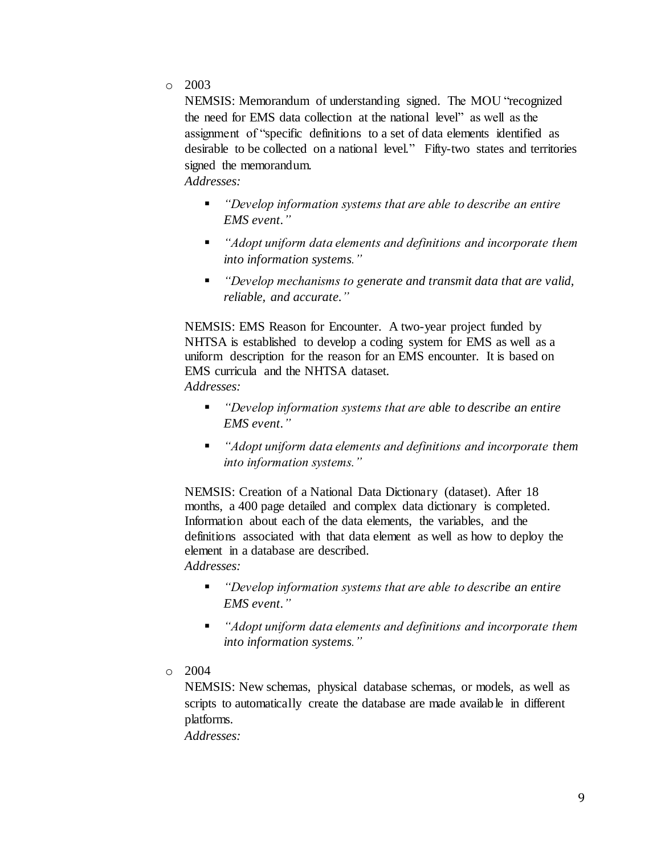o 2003

NEMSIS: Memorandum of understanding signed. The MOU "recognized the need for EMS data collection at the national level" as well as the assignment of "specific definitions to a set of data elements identified as desirable to be collected on a national level." Fifty-two states and territories signed the memorandum.

*Addresses:*

- *"Develop information systems that are able to describe an entire EMS event."*
- *"Adopt uniform data elements and definitions and incorporate them into information systems."*
- *"Develop mechanisms to generate and transmit data that are valid, reliable, and accurate."*

NEMSIS: EMS Reason for Encounter. A two-year project funded by NHTSA is established to develop a coding system for EMS as well as a uniform description for the reason for an EMS encounter. It is based on EMS curricula and the NHTSA dataset. *Addresses:*

- *"Develop information systems that are able to describe an entire EMS event."*
- *"Adopt uniform data elements and definitions and incorporate them into information systems."*

NEMSIS: Creation of a National Data Dictionary (dataset). After 18 months, a 400 page detailed and complex data dictionary is completed. Information about each of the data elements, the variables, and the definitions associated with that data element as well as how to deploy the element in a database are described. *Addresses:*

- *"Develop information systems that are able to describe an entire EMS event."*
- *"Adopt uniform data elements and definitions and incorporate them into information systems."*
- o 2004

NEMSIS: New schemas, physical database schemas, or models, as well as scripts to automatically create the database are made available in different platforms.

*Addresses:*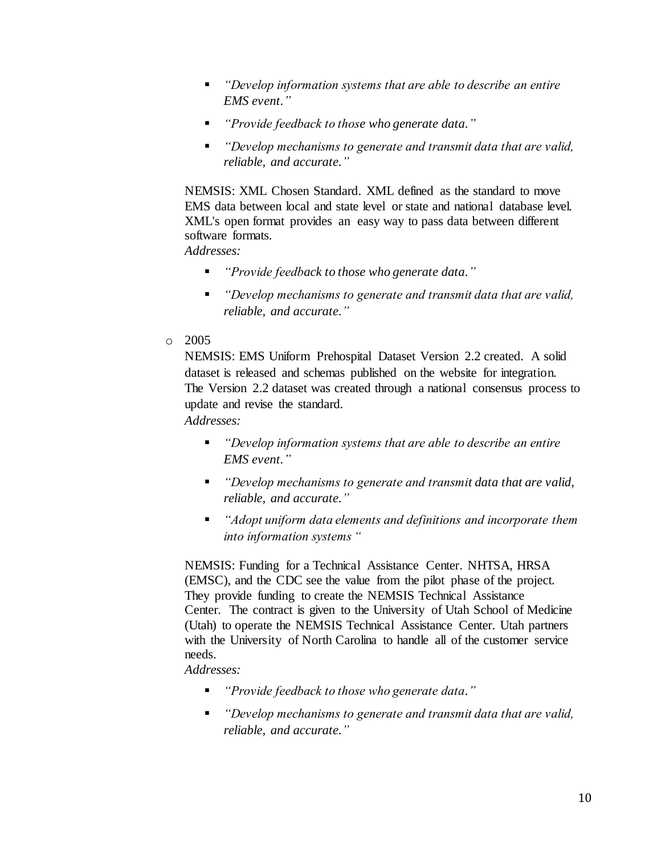- *"Develop information systems that are able to describe an entire EMS event."*
- *"Provide feedback to those who generate data."*
- *"Develop mechanisms to generate and transmit data that are valid, reliable, and accurate."*

NEMSIS: XML Chosen Standard. XML defined as the standard to move EMS data between local and state level or state and national database level. XML's open format provides an easy way to pass data between different software formats.

*Addresses:*

- *"Provide feedback to those who generate data."*
- *"Develop mechanisms to generate and transmit data that are valid, reliable, and accurate."*
- o 2005

NEMSIS: EMS Uniform Prehospital Dataset Version 2.2 created. A solid dataset is released and schemas published on the website for integration. The Version 2.2 dataset was created through a national consensus process to update and revise the standard. *Addresses:*

- *"Develop information systems that are able to describe an entire EMS event."*
- *"Develop mechanisms to generate and transmit data that are valid, reliable, and accurate."*
- *"Adopt uniform data elements and definitions and incorporate them into information systems "*

NEMSIS: Funding for a Technical Assistance Center. NHTSA, HRSA (EMSC), and the CDC see the value from the pilot phase of the project. They provide funding to create the NEMSIS Technical Assistance Center. The contract is given to the University of Utah School of Medicine (Utah) to operate the NEMSIS Technical Assistance Center. Utah partners with the University of North Carolina to handle all of the customer service needs.

*Addresses:*

- *"Provide feedback to those who generate data."*
- *"Develop mechanisms to generate and transmit data that are valid, reliable, and accurate."*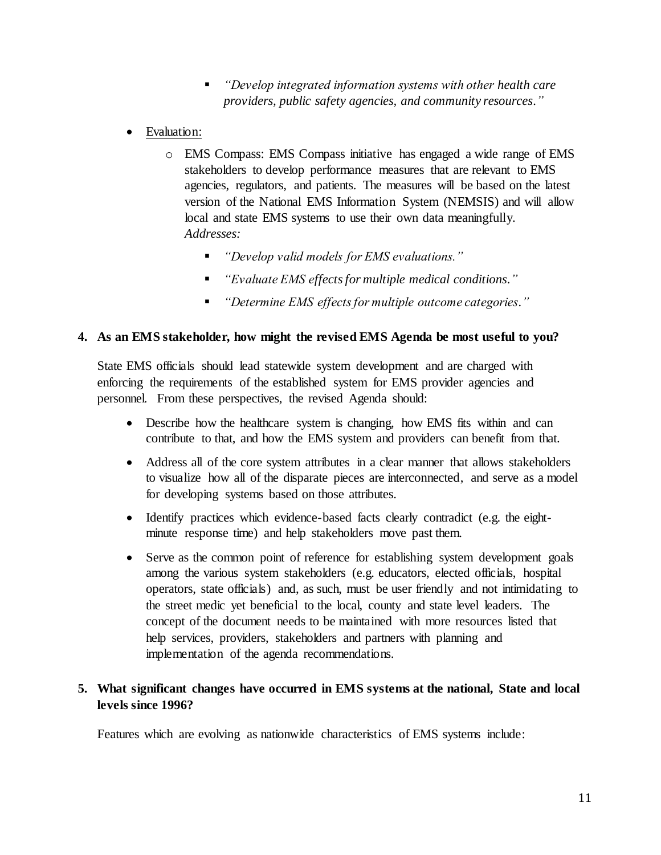- *"Develop integrated information systems with other health care providers, public safety agencies, and community resources."*
- Evaluation:
	- o EMS Compass: EMS Compass initiative has engaged a wide range of EMS stakeholders to develop performance measures that are relevant to EMS agencies, regulators, and patients. The measures will be based on the latest version of the National EMS Information System (NEMSIS) and will allow local and state EMS systems to use their own data meaningfully. *Addresses:*
		- *"Develop valid models for EMS evaluations."*
		- *"Evaluate EMS effects for multiple medical conditions."*
		- *"Determine EMS effects for multiple outcome categories."*

#### **4. As an EMS stakeholder, how might the revised EMS Agenda be most useful to you?**

State EMS officials should lead statewide system development and are charged with enforcing the requirements of the established system for EMS provider agencies and personnel. From these perspectives, the revised Agenda should:

- Describe how the healthcare system is changing, how EMS fits within and can contribute to that, and how the EMS system and providers can benefit from that.
- Address all of the core system attributes in a clear manner that allows stakeholders to visualize how all of the disparate pieces are interconnected, and serve as a model for developing systems based on those attributes.
- Identify practices which evidence-based facts clearly contradict (e.g. the eightminute response time) and help stakeholders move past them.
- Serve as the common point of reference for establishing system development goals among the various system stakeholders (e.g. educators, elected officials, hospital operators, state officials) and, as such, must be user friendly and not intimidating to the street medic yet beneficial to the local, county and state level leaders. The concept of the document needs to be maintained with more resources listed that help services, providers, stakeholders and partners with planning and implementation of the agenda recommendations.

### **5. What significant changes have occurred in EMS systems at the national, State and local levels since 1996?**

Features which are evolving as nationwide characteristics of EMS systems include: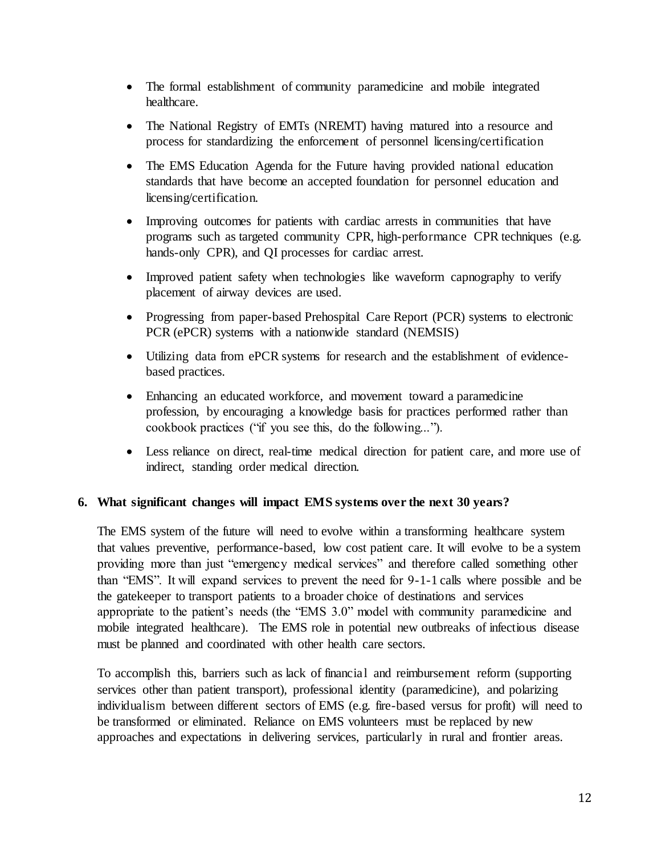- The formal establishment of community paramedicine and mobile integrated healthcare.
- The National Registry of EMTs (NREMT) having matured into a resource and process for standardizing the enforcement of personnel licensing/certification
- The EMS Education Agenda for the Future having provided national education standards that have become an accepted foundation for personnel education and licensing/certification.
- Improving outcomes for patients with cardiac arrests in communities that have programs such as targeted community CPR, high-performance CPR techniques (e.g. hands-only CPR), and QI processes for cardiac arrest.
- Improved patient safety when technologies like waveform capnography to verify placement of airway devices are used.
- Progressing from paper-based Prehospital Care Report (PCR) systems to electronic PCR (ePCR) systems with a nationwide standard (NEMSIS)
- Utilizing data from ePCR systems for research and the establishment of evidencebased practices.
- Enhancing an educated workforce, and movement toward a paramedicine profession, by encouraging a knowledge basis for practices performed rather than cookbook practices ("if you see this, do the following...").
- Less reliance on direct, real-time medical direction for patient care, and more use of indirect, standing order medical direction.

#### **6. What significant changes will impact EMS systems over the next 30 years?**

The EMS system of the future will need to evolve within a transforming healthcare system that values preventive, performance-based, low cost patient care. It will evolve to be a system providing more than just "emergency medical services" and therefore called something other than "EMS". It will expand services to prevent the need for 9-1-1 calls where possible and be the gatekeeper to transport patients to a broader choice of destinations and services appropriate to the patient's needs (the "EMS 3.0" model with community paramedicine and mobile integrated healthcare). The EMS role in potential new outbreaks of infectious disease must be planned and coordinated with other health care sectors.

To accomplish this, barriers such as lack of financial and reimbursement reform (supporting services other than patient transport), professional identity (paramedicine), and polarizing individualism between different sectors of EMS (e.g. fire-based versus for profit) will need to be transformed or eliminated. Reliance on EMS volunteers must be replaced by new approaches and expectations in delivering services, particularly in rural and frontier areas.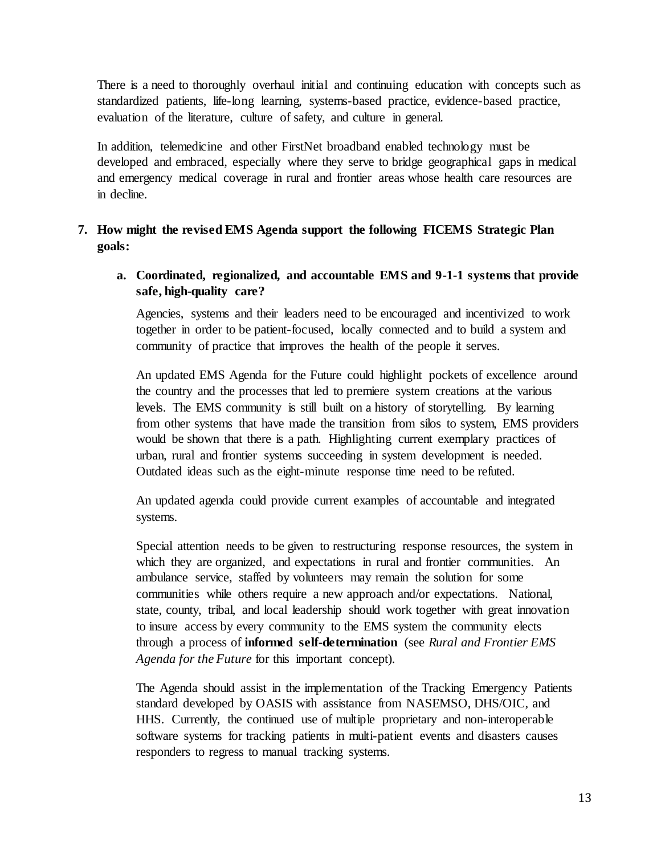There is a need to thoroughly overhaul initial and continuing education with concepts such as standardized patients, life-long learning, systems-based practice, evidence-based practice, evaluation of the literature, culture of safety, and culture in general.

In addition, telemedicine and other FirstNet broadband enabled technology must be developed and embraced, especially where they serve to bridge geographical gaps in medical and emergency medical coverage in rural and frontier areas whose health care resources are in decline.

# **7. How might the revised EMS Agenda support the following FICEMS Strategic Plan goals:**

#### **a. Coordinated, regionalized, and accountable EMS and 9-1-1 systems that provide safe, high-quality care?**

Agencies, systems and their leaders need to be encouraged and incentivized to work together in order to be patient-focused, locally connected and to build a system and community of practice that improves the health of the people it serves.

An updated EMS Agenda for the Future could highlight pockets of excellence around the country and the processes that led to premiere system creations at the various levels. The EMS community is still built on a history of storytelling. By learning from other systems that have made the transition from silos to system, EMS providers would be shown that there is a path. Highlighting current exemplary practices of urban, rural and frontier systems succeeding in system development is needed. Outdated ideas such as the eight-minute response time need to be refuted.

An updated agenda could provide current examples of accountable and integrated systems.

Special attention needs to be given to restructuring response resources, the system in which they are organized, and expectations in rural and frontier communities. An ambulance service, staffed by volunteers may remain the solution for some communities while others require a new approach and/or expectations. National, state, county, tribal, and local leadership should work together with great innovation to insure access by every community to the EMS system the community elects through a process of **informed self-determination** (see *Rural and Frontier EMS Agenda for the Future* for this important concept).

The Agenda should assist in the implementation of the Tracking Emergency Patients standard developed by OASIS with assistance from NASEMSO, DHS/OIC, and HHS. Currently, the continued use of multiple proprietary and non-interoperable software systems for tracking patients in multi-patient events and disasters causes responders to regress to manual tracking systems.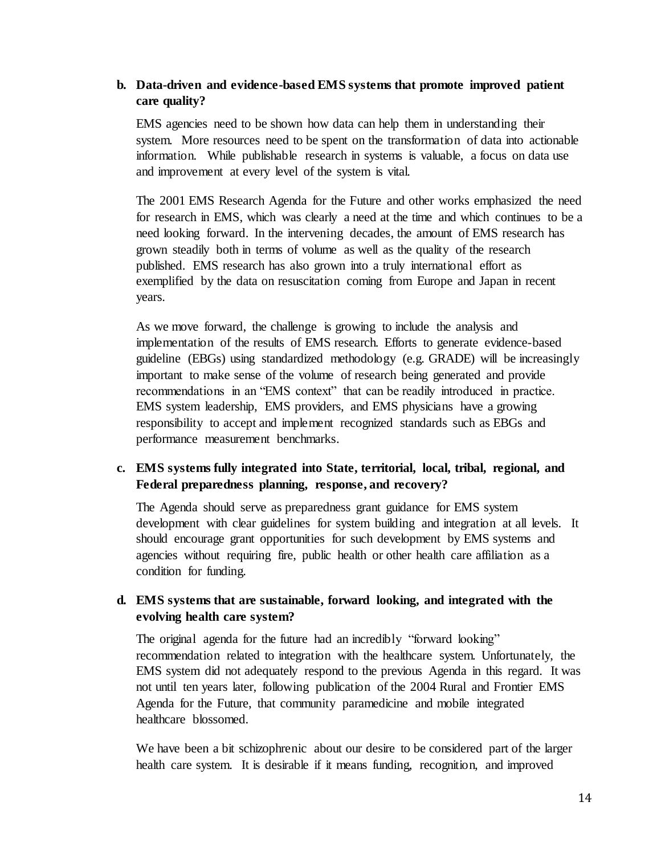#### **b. Data-driven and evidence-based EMS systems that promote improved patient care quality?**

EMS agencies need to be shown how data can help them in understanding their system. More resources need to be spent on the transformation of data into actionable information. While publishable research in systems is valuable, a focus on data use and improvement at every level of the system is vital.

The 2001 EMS Research Agenda for the Future and other works emphasized the need for research in EMS, which was clearly a need at the time and which continues to be a need looking forward. In the intervening decades, the amount of EMS research has grown steadily both in terms of volume as well as the quality of the research published. EMS research has also grown into a truly international effort as exemplified by the data on resuscitation coming from Europe and Japan in recent years.

As we move forward, the challenge is growing to include the analysis and implementation of the results of EMS research. Efforts to generate evidence-based guideline (EBGs) using standardized methodology (e.g. GRADE) will be increasingly important to make sense of the volume of research being generated and provide recommendations in an "EMS context" that can be readily introduced in practice. EMS system leadership, EMS providers, and EMS physicians have a growing responsibility to accept and implement recognized standards such as EBGs and performance measurement benchmarks.

### **c. EMS systems fully integrated into State, territorial, local, tribal, regional, and Federal preparedness planning, response, and recovery?**

The Agenda should serve as preparedness grant guidance for EMS system development with clear guidelines for system building and integration at all levels. It should encourage grant opportunities for such development by EMS systems and agencies without requiring fire, public health or other health care affiliation as a condition for funding.

### **d. EMS systems that are sustainable, forward looking, and integrated with the evolving health care system?**

The original agenda for the future had an incredibly "forward looking" recommendation related to integration with the healthcare system. Unfortunately, the EMS system did not adequately respond to the previous Agenda in this regard. It was not until ten years later, following publication of the 2004 Rural and Frontier EMS Agenda for the Future, that community paramedicine and mobile integrated healthcare blossomed.

We have been a bit schizophrenic about our desire to be considered part of the larger health care system. It is desirable if it means funding, recognition, and improved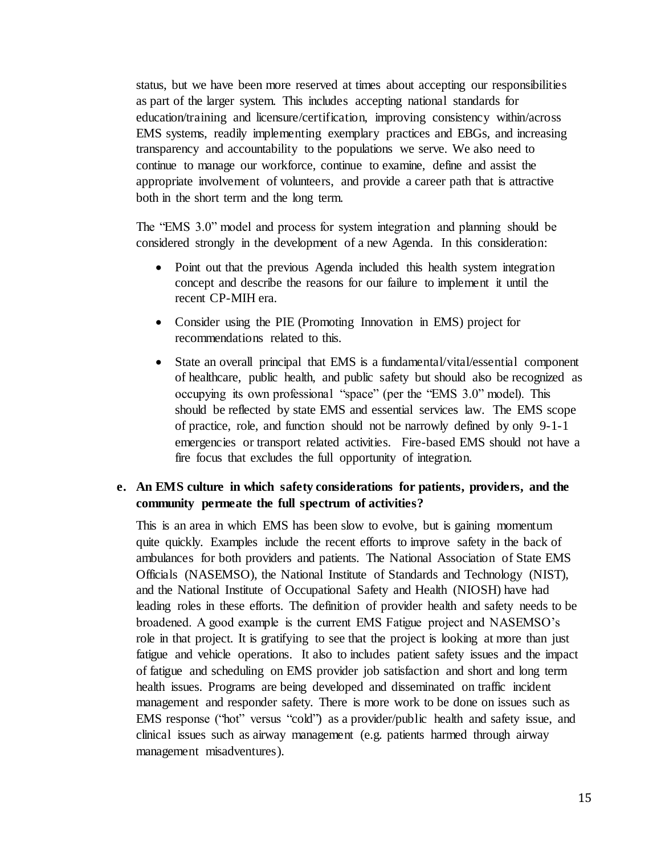status, but we have been more reserved at times about accepting our responsibilities as part of the larger system. This includes accepting national standards for education/training and licensure/certification, improving consistency within/across EMS systems, readily implementing exemplary practices and EBGs, and increasing transparency and accountability to the populations we serve. We also need to continue to manage our workforce, continue to examine, define and assist the appropriate involvement of volunteers, and provide a career path that is attractive both in the short term and the long term.

The "EMS 3.0" model and process for system integration and planning should be considered strongly in the development of a new Agenda. In this consideration:

- Point out that the previous Agenda included this health system integration concept and describe the reasons for our failure to implement it until the recent CP-MIH era.
- Consider using the PIE (Promoting Innovation in EMS) project for recommendations related to this.
- State an overall principal that EMS is a fundamental/vital/essential component of healthcare, public health, and public safety but should also be recognized as occupying its own professional "space" (per the "EMS 3.0" model). This should be reflected by state EMS and essential services law. The EMS scope of practice, role, and function should not be narrowly defined by only 9-1-1 emergencies or transport related activities. Fire-based EMS should not have a fire focus that excludes the full opportunity of integration.

#### **e. An EMS culture in which safety considerations for patients, providers, and the community permeate the full spectrum of activities?**

This is an area in which EMS has been slow to evolve, but is gaining momentum quite quickly. Examples include the recent efforts to improve safety in the back of ambulances for both providers and patients. The National Association of State EMS Officials (NASEMSO), the National Institute of Standards and Technology (NIST), and the National Institute of Occupational Safety and Health (NIOSH) have had leading roles in these efforts. The definition of provider health and safety needs to be broadened. A good example is the current EMS Fatigue project and NASEMSO's role in that project. It is gratifying to see that the project is looking at more than just fatigue and vehicle operations. It also to includes patient safety issues and the impact of fatigue and scheduling on EMS provider job satisfaction and short and long term health issues. Programs are being developed and disseminated on traffic incident management and responder safety. There is more work to be done on issues such as EMS response ("hot" versus "cold") as a provider/public health and safety issue, and clinical issues such as airway management (e.g. patients harmed through airway management misadventures).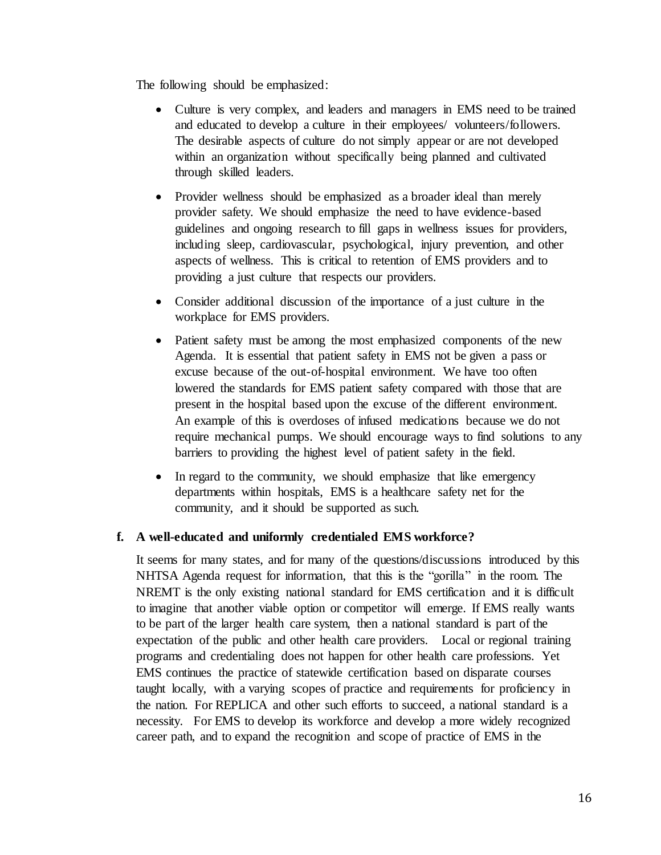The following should be emphasized:

- Culture is very complex, and leaders and managers in EMS need to be trained and educated to develop a culture in their employees/ volunteers/followers. The desirable aspects of culture do not simply appear or are not developed within an organization without specifically being planned and cultivated through skilled leaders.
- Provider wellness should be emphasized as a broader ideal than merely provider safety. We should emphasize the need to have evidence-based guidelines and ongoing research to fill gaps in wellness issues for providers, including sleep, cardiovascular, psychological, injury prevention, and other aspects of wellness. This is critical to retention of EMS providers and to providing a just culture that respects our providers.
- Consider additional discussion of the importance of a just culture in the workplace for EMS providers.
- Patient safety must be among the most emphasized components of the new Agenda. It is essential that patient safety in EMS not be given a pass or excuse because of the out-of-hospital environment. We have too often lowered the standards for EMS patient safety compared with those that are present in the hospital based upon the excuse of the different environment. An example of this is overdoses of infused medications because we do not require mechanical pumps. We should encourage ways to find solutions to any barriers to providing the highest level of patient safety in the field.
- In regard to the community, we should emphasize that like emergency departments within hospitals, EMS is a healthcare safety net for the community, and it should be supported as such.

#### **f. A well-educated and uniformly credentialed EMS workforce?**

It seems for many states, and for many of the questions/discussions introduced by this NHTSA Agenda request for information, that this is the "gorilla" in the room. The NREMT is the only existing national standard for EMS certification and it is difficult to imagine that another viable option or competitor will emerge. If EMS really wants to be part of the larger health care system, then a national standard is part of the expectation of the public and other health care providers. Local or regional training programs and credentialing does not happen for other health care professions. Yet EMS continues the practice of statewide certification based on disparate courses taught locally, with a varying scopes of practice and requirements for proficiency in the nation. For REPLICA and other such efforts to succeed, a national standard is a necessity. For EMS to develop its workforce and develop a more widely recognized career path, and to expand the recognition and scope of practice of EMS in the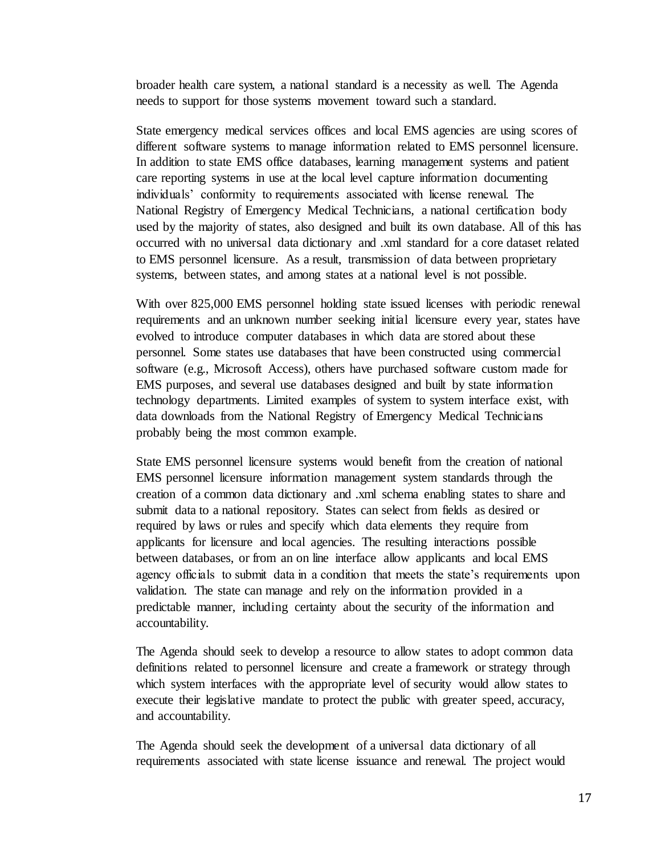broader health care system, a national standard is a necessity as well. The Agenda needs to support for those systems movement toward such a standard.

State emergency medical services offices and local EMS agencies are using scores of different software systems to manage information related to EMS personnel licensure. In addition to state EMS office databases, learning management systems and patient care reporting systems in use at the local level capture information documenting individuals' conformity to requirements associated with license renewal. The National Registry of Emergency Medical Technicians, a national certification body used by the majority of states, also designed and built its own database. All of this has occurred with no universal data dictionary and .xml standard for a core dataset related to EMS personnel licensure. As a result, transmission of data between proprietary systems, between states, and among states at a national level is not possible.

With over 825,000 EMS personnel holding state issued licenses with periodic renewal requirements and an unknown number seeking initial licensure every year, states have evolved to introduce computer databases in which data are stored about these personnel. Some states use databases that have been constructed using commercial software (e.g., Microsoft Access), others have purchased software custom made for EMS purposes, and several use databases designed and built by state information technology departments. Limited examples of system to system interface exist, with data downloads from the National Registry of Emergency Medical Technicians probably being the most common example.

State EMS personnel licensure systems would benefit from the creation of national EMS personnel licensure information management system standards through the creation of a common data dictionary and .xml schema enabling states to share and submit data to a national repository. States can select from fields as desired or required by laws or rules and specify which data elements they require from applicants for licensure and local agencies. The resulting interactions possible between databases, or from an on line interface allow applicants and local EMS agency officials to submit data in a condition that meets the state's requirements upon validation. The state can manage and rely on the information provided in a predictable manner, including certainty about the security of the information and accountability.

The Agenda should seek to develop a resource to allow states to adopt common data definitions related to personnel licensure and create a framework or strategy through which system interfaces with the appropriate level of security would allow states to execute their legislative mandate to protect the public with greater speed, accuracy, and accountability.

The Agenda should seek the development of a universal data dictionary of all requirements associated with state license issuance and renewal. The project would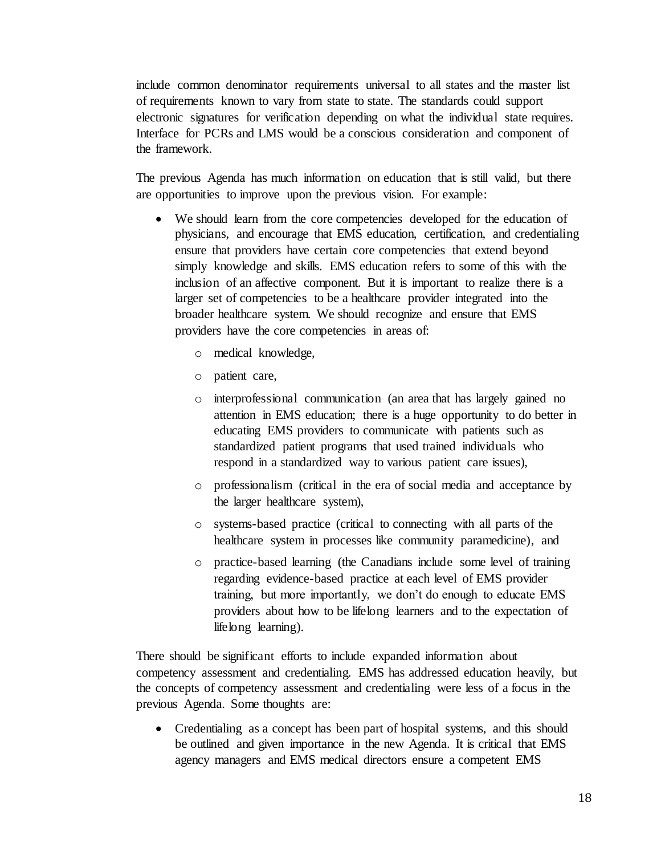include common denominator requirements universal to all states and the master list of requirements known to vary from state to state. The standards could support electronic signatures for verification depending on what the individual state requires. Interface for PCRs and LMS would be a conscious consideration and component of the framework.

The previous Agenda has much information on education that is still valid, but there are opportunities to improve upon the previous vision. For example:

- We should learn from the core competencies developed for the education of physicians, and encourage that EMS education, certification, and credentialing ensure that providers have certain core competencies that extend beyond simply knowledge and skills. EMS education refers to some of this with the inclusion of an affective component. But it is important to realize there is a larger set of competencies to be a healthcare provider integrated into the broader healthcare system. We should recognize and ensure that EMS providers have the core competencies in areas of:
	- o medical knowledge,
	- o patient care,
	- o interprofessional communication (an area that has largely gained no attention in EMS education; there is a huge opportunity to do better in educating EMS providers to communicate with patients such as standardized patient programs that used trained individuals who respond in a standardized way to various patient care issues),
	- o professionalism (critical in the era of social media and acceptance by the larger healthcare system),
	- o systems-based practice (critical to connecting with all parts of the healthcare system in processes like community paramedicine), and
	- o practice-based learning (the Canadians include some level of training regarding evidence-based practice at each level of EMS provider training, but more importantly, we don't do enough to educate EMS providers about how to be lifelong learners and to the expectation of lifelong learning).

There should be significant efforts to include expanded information about competency assessment and credentialing. EMS has addressed education heavily, but the concepts of competency assessment and credentialing were less of a focus in the previous Agenda. Some thoughts are:

• Credentialing as a concept has been part of hospital systems, and this should be outlined and given importance in the new Agenda. It is critical that EMS agency managers and EMS medical directors ensure a competent EMS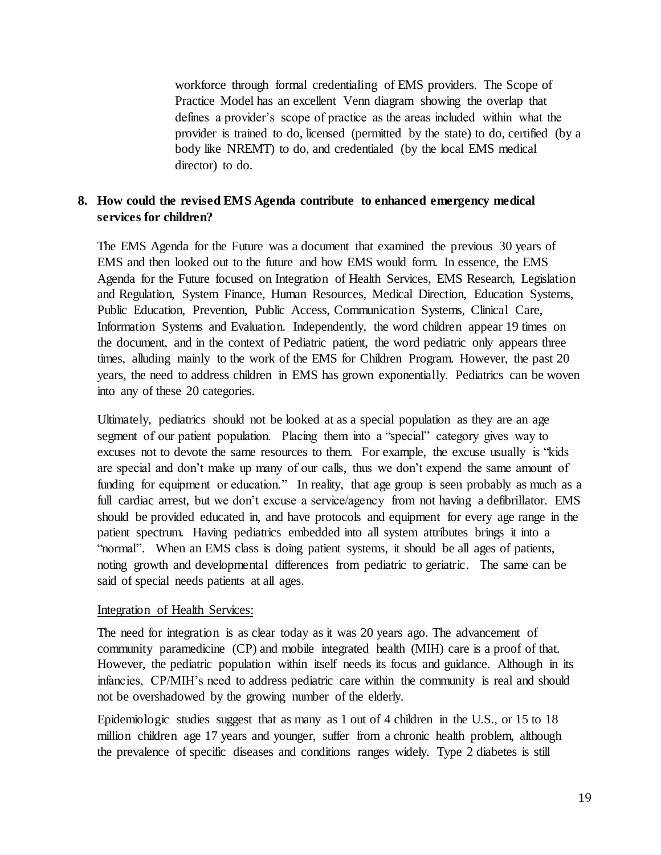workforce through formal credentialing of EMS providers. The Scope of Practice Model has an excellent Venn diagram showing the overlap that defines a provider's scope of practice as the areas included within what the provider is trained to do, licensed (permitted by the state) to do, certified (by a body like NREMT) to do, and credentialed (by the local EMS medical director) to do.

#### **8. How could the revised EMS Agenda contribute to enhanced emergency medical services for children?**

The EMS Agenda for the Future was a document that examined the previous 30 years of EMS and then looked out to the future and how EMS would form. In essence, the EMS Agenda for the Future focused on Integration of Health Services, EMS Research, Legislation and Regulation, System Finance, Human Resources, Medical Direction, Education Systems, Public Education, Prevention, Public Access, Communication Systems, Clinical Care, Information Systems and Evaluation. Independently, the word children appear 19 times on the document, and in the context of Pediatric patient, the word pediatric only appears three times, alluding mainly to the work of the EMS for Children Program. However, the past 20 years, the need to address children in EMS has grown exponentially. Pediatrics can be woven into any of these 20 categories.

Ultimately, pediatrics should not be looked at as a special population as they are an age segment of our patient population. Placing them into a "special" category gives way to excuses not to devote the same resources to them. For example, the excuse usually is "kids are special and don't make up many of our calls, thus we don't expend the same amount of funding for equipment or education." In reality, that age group is seen probably as much as a full cardiac arrest, but we don't excuse a service/agency from not having a defibrillator. EMS should be provided educated in, and have protocols and equipment for every age range in the patient spectrum. Having pediatrics embedded into all system attributes brings it into a "normal". When an EMS class is doing patient systems, it should be all ages of patients, noting growth and developmental differences from pediatric to geriatric. The same can be said of special needs patients at all ages.

#### Integration of Health Services:

The need for integration is as clear today as it was 20 years ago. The advancement of community paramedicine (CP) and mobile integrated health (MIH) care is a proof of that. However, the pediatric population within itself needs its focus and guidance. Although in its infancies, CP/MIH's need to address pediatric care within the community is real and should not be overshadowed by the growing number of the elderly.

Epidemiologic studies suggest that as many as 1 out of 4 children in the U.S., or 15 to 18 million children age 17 years and younger, suffer from a chronic health problem, although the prevalence of specific diseases and conditions ranges widely. Type 2 diabetes is still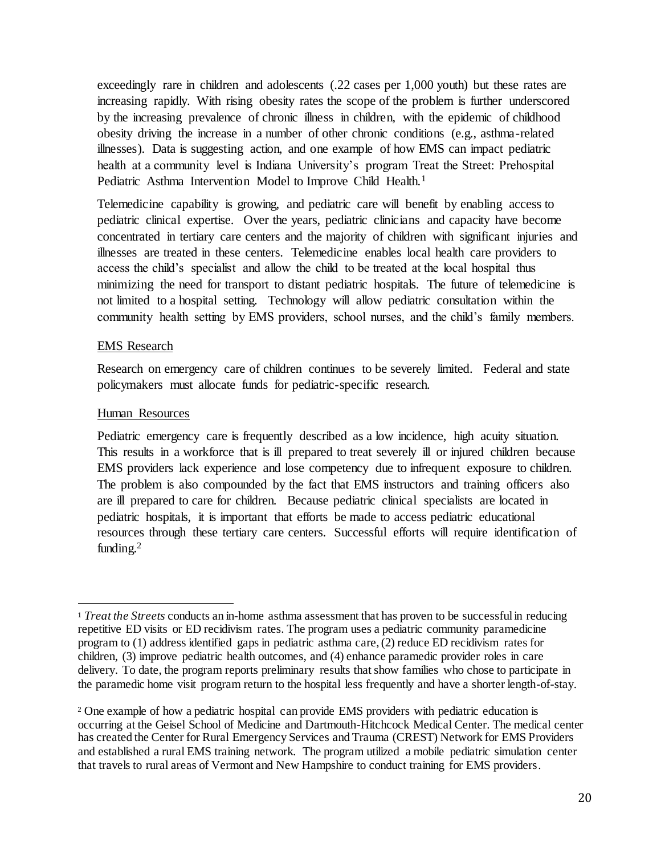exceedingly rare in children and adolescents (.22 cases per 1,000 youth) but these rates are increasing rapidly. With rising obesity rates the scope of the problem is further underscored by the increasing prevalence of chronic illness in children, with the epidemic of childhood obesity driving the increase in a number of other chronic conditions (e.g., asthma-related illnesses). Data is suggesting action, and one example of how EMS can impact pediatric health at a community level is Indiana University's program Treat the Street: Prehospital Pediatric Asthma Intervention Model to Improve Child Health.<sup>1</sup>

Telemedicine capability is growing, and pediatric care will benefit by enabling access to pediatric clinical expertise. Over the years, pediatric clinicians and capacity have become concentrated in tertiary care centers and the majority of children with significant injuries and illnesses are treated in these centers. Telemedicine enables local health care providers to access the child's specialist and allow the child to be treated at the local hospital thus minimizing the need for transport to distant pediatric hospitals. The future of telemedicine is not limited to a hospital setting. Technology will allow pediatric consultation within the community health setting by EMS providers, school nurses, and the child's family members.

#### EMS Research

Research on emergency care of children continues to be severely limited. Federal and state policymakers must allocate funds for pediatric-specific research.

#### Human Resources

 $\overline{a}$ 

Pediatric emergency care is frequently described as a low incidence, high acuity situation. This results in a workforce that is ill prepared to treat severely ill or injured children because EMS providers lack experience and lose competency due to infrequent exposure to children. The problem is also compounded by the fact that EMS instructors and training officers also are ill prepared to care for children. Because pediatric clinical specialists are located in pediatric hospitals, it is important that efforts be made to access pediatric educational resources through these tertiary care centers. Successful efforts will require identification of funding. $2$ 

<sup>1</sup> *Treat the Streets* conducts an in-home asthma assessment that has proven to be successful in reducing repetitive ED visits or ED recidivism rates. The program uses a pediatric community paramedicine program to (1) address identified gaps in pediatric asthma care, (2) reduce ED recidivism rates for children, (3) improve pediatric health outcomes, and (4) enhance paramedic provider roles in care delivery. To date, the program reports preliminary results that show families who chose to participate in the paramedic home visit program return to the hospital less frequently and have a shorter length-of-stay.

<sup>2</sup> One example of how a pediatric hospital can provide EMS providers with pediatric education is occurring at the Geisel School of Medicine and Dartmouth-Hitchcock Medical Center. The medical center has created the Center for Rural Emergency Services and Trauma (CREST) Network for EMS Providers and established a rural EMS training network. The program utilized a mobile pediatric simulation center that travels to rural areas of Vermont and New Hampshire to conduct training for EMS providers.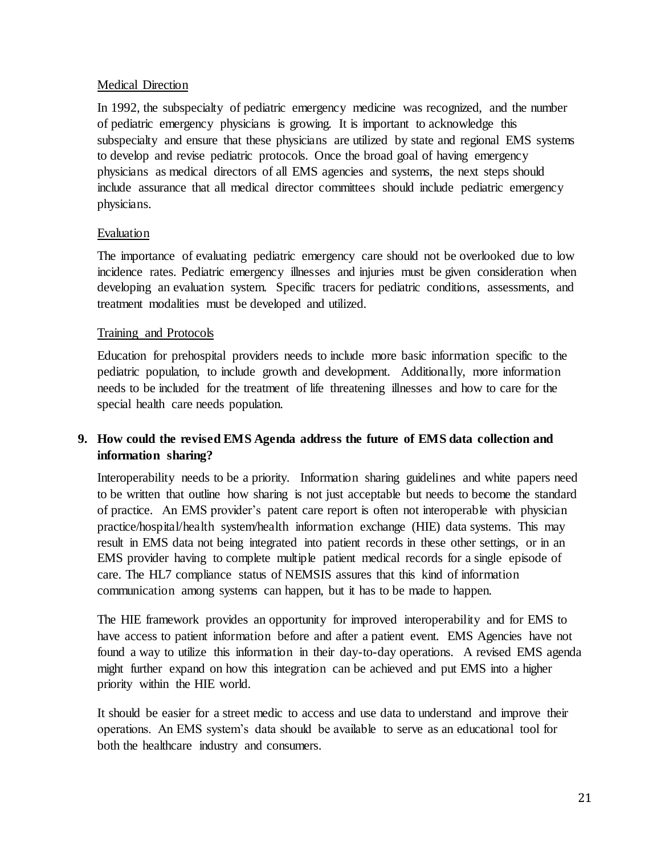#### Medical Direction

In 1992, the subspecialty of pediatric emergency medicine was recognized, and the number of pediatric emergency physicians is growing. It is important to acknowledge this subspecialty and ensure that these physicians are utilized by state and regional EMS systems to develop and revise pediatric protocols. Once the broad goal of having emergency physicians as medical directors of all EMS agencies and systems, the next steps should include assurance that all medical director committees should include pediatric emergency physicians.

#### Evaluation

The importance of evaluating pediatric emergency care should not be overlooked due to low incidence rates. Pediatric emergency illnesses and injuries must be given consideration when developing an evaluation system. Specific tracers for pediatric conditions, assessments, and treatment modalities must be developed and utilized.

#### Training and Protocols

Education for prehospital providers needs to include more basic information specific to the pediatric population, to include growth and development. Additionally, more information needs to be included for the treatment of life threatening illnesses and how to care for the special health care needs population.

### **9. How could the revised EMS Agenda address the future of EMS data collection and information sharing?**

Interoperability needs to be a priority. Information sharing guidelines and white papers need to be written that outline how sharing is not just acceptable but needs to become the standard of practice. An EMS provider's patent care report is often not interoperable with physician practice/hospital/health system/health information exchange (HIE) data systems. This may result in EMS data not being integrated into patient records in these other settings, or in an EMS provider having to complete multiple patient medical records for a single episode of care. The HL7 compliance status of NEMSIS assures that this kind of information communication among systems can happen, but it has to be made to happen.

The HIE framework provides an opportunity for improved interoperability and for EMS to have access to patient information before and after a patient event. EMS Agencies have not found a way to utilize this information in their day-to-day operations. A revised EMS agenda might further expand on how this integration can be achieved and put EMS into a higher priority within the HIE world.

It should be easier for a street medic to access and use data to understand and improve their operations. An EMS system's data should be available to serve as an educational tool for both the healthcare industry and consumers.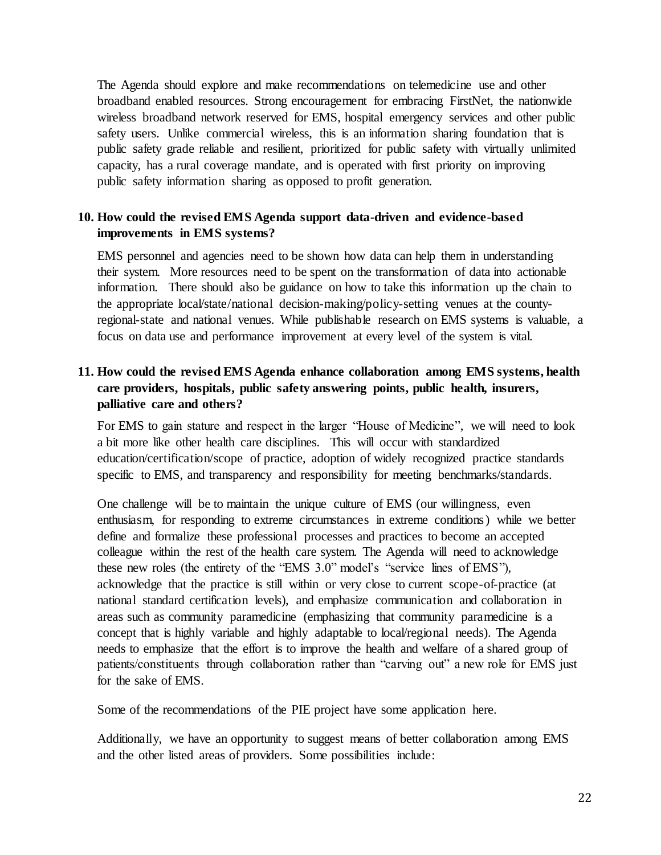The Agenda should explore and make recommendations on telemedicine use and other broadband enabled resources. Strong encouragement for embracing FirstNet, the nationwide wireless broadband network reserved for EMS, hospital emergency services and other public safety users. Unlike commercial wireless, this is an information sharing foundation that is public safety grade reliable and resilient, prioritized for public safety with virtually unlimited capacity, has a rural coverage mandate, and is operated with first priority on improving public safety information sharing as opposed to profit generation.

#### **10. How could the revised EMS Agenda support data-driven and evidence-based improvements in EMS systems?**

EMS personnel and agencies need to be shown how data can help them in understanding their system. More resources need to be spent on the transformation of data into actionable information. There should also be guidance on how to take this information up the chain to the appropriate local/state/national decision-making/policy-setting venues at the countyregional-state and national venues. While publishable research on EMS systems is valuable, a focus on data use and performance improvement at every level of the system is vital.

# **11. How could the revised EMS Agenda enhance collaboration among EMS systems, health care providers, hospitals, public safety answering points, public health, insurers, palliative care and others?**

For EMS to gain stature and respect in the larger "House of Medicine", we will need to look a bit more like other health care disciplines. This will occur with standardized education/certification/scope of practice, adoption of widely recognized practice standards specific to EMS, and transparency and responsibility for meeting benchmarks/standards.

One challenge will be to maintain the unique culture of EMS (our willingness, even enthusiasm, for responding to extreme circumstances in extreme conditions) while we better define and formalize these professional processes and practices to become an accepted colleague within the rest of the health care system. The Agenda will need to acknowledge these new roles (the entirety of the "EMS 3.0" model's "service lines of EMS"), acknowledge that the practice is still within or very close to current scope-of-practice (at national standard certification levels), and emphasize communication and collaboration in areas such as community paramedicine (emphasizing that community paramedicine is a concept that is highly variable and highly adaptable to local/regional needs). The Agenda needs to emphasize that the effort is to improve the health and welfare of a shared group of patients/constituents through collaboration rather than "carving out" a new role for EMS just for the sake of EMS.

Some of the recommendations of the PIE project have some application here.

Additionally, we have an opportunity to suggest means of better collaboration among EMS and the other listed areas of providers. Some possibilities include: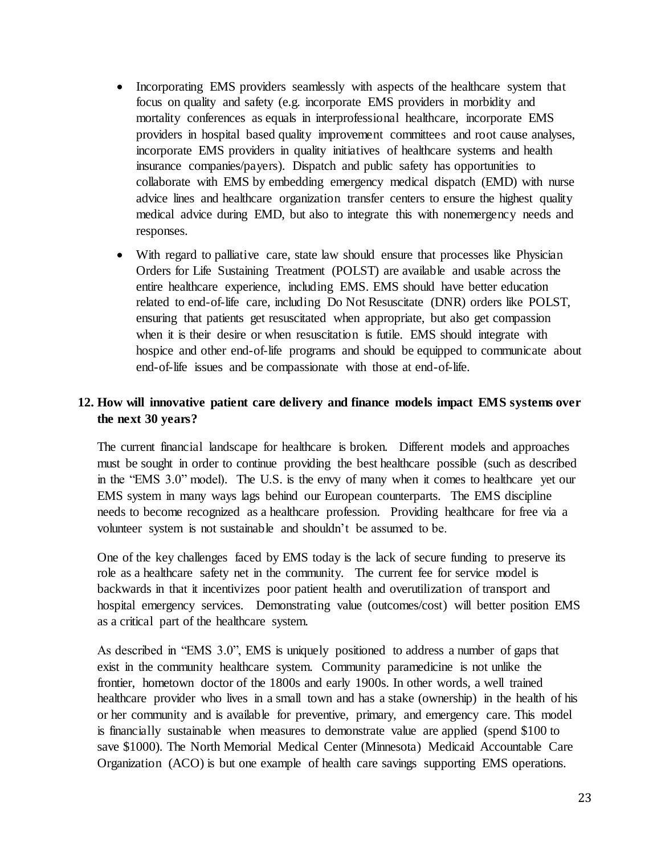- Incorporating EMS providers seamlessly with aspects of the healthcare system that focus on quality and safety (e.g. incorporate EMS providers in morbidity and mortality conferences as equals in interprofessional healthcare, incorporate EMS providers in hospital based quality improvement committees and root cause analyses, incorporate EMS providers in quality initiatives of healthcare systems and health insurance companies/payers). Dispatch and public safety has opportunities to collaborate with EMS by embedding emergency medical dispatch (EMD) with nurse advice lines and healthcare organization transfer centers to ensure the highest quality medical advice during EMD, but also to integrate this with nonemergency needs and responses.
- With regard to palliative care, state law should ensure that processes like Physician Orders for Life Sustaining Treatment (POLST) are available and usable across the entire healthcare experience, including EMS. EMS should have better education related to end-of-life care, including Do Not Resuscitate (DNR) orders like POLST, ensuring that patients get resuscitated when appropriate, but also get compassion when it is their desire or when resuscitation is futile. EMS should integrate with hospice and other end-of-life programs and should be equipped to communicate about end-of-life issues and be compassionate with those at end-of-life.

#### **12. How will innovative patient care delivery and finance models impact EMS systems over the next 30 years?**

The current financial landscape for healthcare is broken. Different models and approaches must be sought in order to continue providing the best healthcare possible (such as described in the "EMS 3.0" model). The U.S. is the envy of many when it comes to healthcare yet our EMS system in many ways lags behind our European counterparts. The EMS discipline needs to become recognized as a healthcare profession. Providing healthcare for free via a volunteer system is not sustainable and shouldn't be assumed to be.

One of the key challenges faced by EMS today is the lack of secure funding to preserve its role as a healthcare safety net in the community. The current fee for service model is backwards in that it incentivizes poor patient health and overutilization of transport and hospital emergency services. Demonstrating value (outcomes/cost) will better position EMS as a critical part of the healthcare system.

As described in "EMS 3.0", EMS is uniquely positioned to address a number of gaps that exist in the community healthcare system. Community paramedicine is not unlike the frontier, hometown doctor of the 1800s and early 1900s. In other words, a well trained healthcare provider who lives in a small town and has a stake (ownership) in the health of his or her community and is available for preventive, primary, and emergency care. This model is financially sustainable when measures to demonstrate value are applied (spend \$100 to save \$1000). The North Memorial Medical Center (Minnesota) Medicaid Accountable Care Organization (ACO) is but one example of health care savings supporting EMS operations.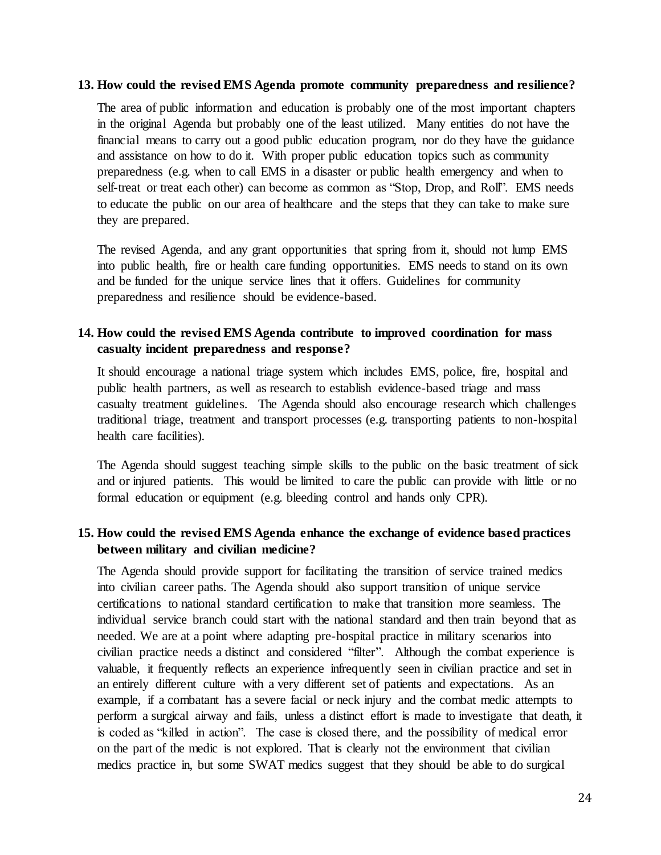#### **13. How could the revised EMS Agenda promote community preparedness and resilience?**

The area of public information and education is probably one of the most important chapters in the original Agenda but probably one of the least utilized. Many entities do not have the financial means to carry out a good public education program, nor do they have the guidance and assistance on how to do it. With proper public education topics such as community preparedness (e.g. when to call EMS in a disaster or public health emergency and when to self-treat or treat each other) can become as common as "Stop, Drop, and Roll". EMS needs to educate the public on our area of healthcare and the steps that they can take to make sure they are prepared.

The revised Agenda, and any grant opportunities that spring from it, should not lump EMS into public health, fire or health care funding opportunities. EMS needs to stand on its own and be funded for the unique service lines that it offers. Guidelines for community preparedness and resilience should be evidence-based.

#### **14. How could the revised EMS Agenda contribute to improved coordination for mass casualty incident preparedness and response?**

It should encourage a national triage system which includes EMS, police, fire, hospital and public health partners, as well as research to establish evidence-based triage and mass casualty treatment guidelines. The Agenda should also encourage research which challenges traditional triage, treatment and transport processes (e.g. transporting patients to non-hospital health care facilities).

The Agenda should suggest teaching simple skills to the public on the basic treatment of sick and or injured patients. This would be limited to care the public can provide with little or no formal education or equipment (e.g. bleeding control and hands only CPR).

#### **15. How could the revised EMS Agenda enhance the exchange of evidence based practices between military and civilian medicine?**

The Agenda should provide support for facilitating the transition of service trained medics into civilian career paths. The Agenda should also support transition of unique service certifications to national standard certification to make that transition more seamless. The individual service branch could start with the national standard and then train beyond that as needed. We are at a point where adapting pre-hospital practice in military scenarios into civilian practice needs a distinct and considered "filter". Although the combat experience is valuable, it frequently reflects an experience infrequently seen in civilian practice and set in an entirely different culture with a very different set of patients and expectations. As an example, if a combatant has a severe facial or neck injury and the combat medic attempts to perform a surgical airway and fails, unless a distinct effort is made to investigate that death, it is coded as "killed in action". The case is closed there, and the possibility of medical error on the part of the medic is not explored. That is clearly not the environment that civilian medics practice in, but some SWAT medics suggest that they should be able to do surgical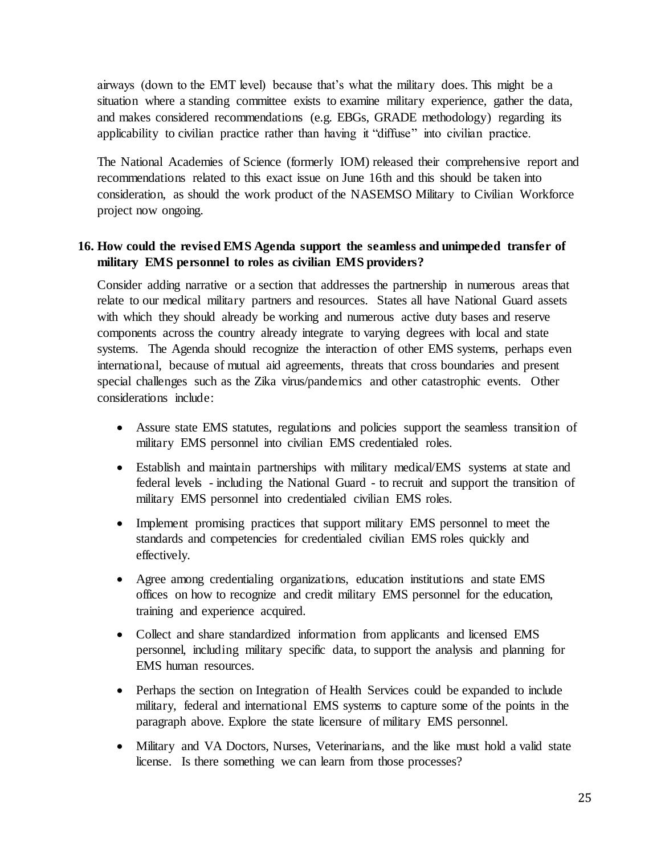airways (down to the EMT level) because that's what the military does. This might be a situation where a standing committee exists to examine military experience, gather the data, and makes considered recommendations (e.g. EBGs, GRADE methodology) regarding its applicability to civilian practice rather than having it "diffuse" into civilian practice.

The National Academies of Science (formerly IOM) released their comprehensive report and recommendations related to this exact issue on June 16th and this should be taken into consideration, as should the work product of the NASEMSO Military to Civilian Workforce project now ongoing.

#### **16. How could the revised EMS Agenda support the seamless and unimpeded transfer of military EMS personnel to roles as civilian EMS providers?**

Consider adding narrative or a section that addresses the partnership in numerous areas that relate to our medical military partners and resources. States all have National Guard assets with which they should already be working and numerous active duty bases and reserve components across the country already integrate to varying degrees with local and state systems. The Agenda should recognize the interaction of other EMS systems, perhaps even international, because of mutual aid agreements, threats that cross boundaries and present special challenges such as the Zika virus/pandemics and other catastrophic events. Other considerations include:

- Assure state EMS statutes, regulations and policies support the seamless transition of military EMS personnel into civilian EMS credentialed roles.
- Establish and maintain partnerships with military medical/EMS systems at state and federal levels - including the National Guard - to recruit and support the transition of military EMS personnel into credentialed civilian EMS roles.
- Implement promising practices that support military EMS personnel to meet the standards and competencies for credentialed civilian EMS roles quickly and effectively.
- Agree among credentialing organizations, education institutions and state EMS offices on how to recognize and credit military EMS personnel for the education, training and experience acquired.
- Collect and share standardized information from applicants and licensed EMS personnel, including military specific data, to support the analysis and planning for EMS human resources.
- Perhaps the section on Integration of Health Services could be expanded to include military, federal and international EMS systems to capture some of the points in the paragraph above. Explore the state licensure of military EMS personnel.
- Military and VA Doctors, Nurses, Veterinarians, and the like must hold a valid state license. Is there something we can learn from those processes?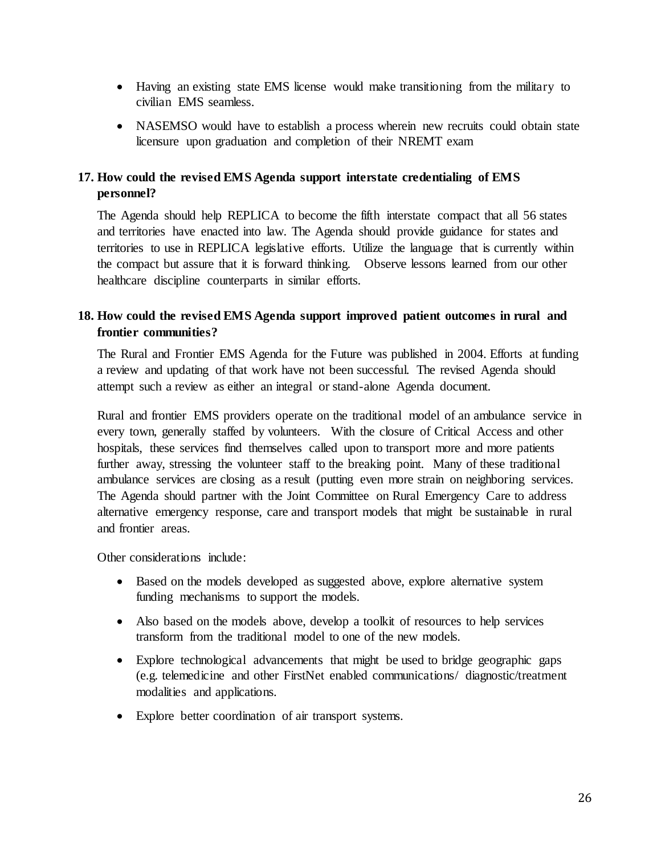- Having an existing state EMS license would make transitioning from the military to civilian EMS seamless.
- NASEMSO would have to establish a process wherein new recruits could obtain state licensure upon graduation and completion of their NREMT exam

# **17. How could the revised EMS Agenda support interstate credentialing of EMS personnel?**

The Agenda should help REPLICA to become the fifth interstate compact that all 56 states and territories have enacted into law. The Agenda should provide guidance for states and territories to use in REPLICA legislative efforts. Utilize the language that is currently within the compact but assure that it is forward thinking. Observe lessons learned from our other healthcare discipline counterparts in similar efforts.

### **18. How could the revised EMS Agenda support improved patient outcomes in rural and frontier communities?**

The Rural and Frontier EMS Agenda for the Future was published in 2004. Efforts at funding a review and updating of that work have not been successful. The revised Agenda should attempt such a review as either an integral or stand-alone Agenda document.

Rural and frontier EMS providers operate on the traditional model of an ambulance service in every town, generally staffed by volunteers. With the closure of Critical Access and other hospitals, these services find themselves called upon to transport more and more patients further away, stressing the volunteer staff to the breaking point. Many of these traditional ambulance services are closing as a result (putting even more strain on neighboring services. The Agenda should partner with the Joint Committee on Rural Emergency Care to address alternative emergency response, care and transport models that might be sustainable in rural and frontier areas.

Other considerations include:

- Based on the models developed as suggested above, explore alternative system funding mechanisms to support the models.
- Also based on the models above, develop a toolkit of resources to help services transform from the traditional model to one of the new models.
- Explore technological advancements that might be used to bridge geographic gaps (e.g. telemedicine and other FirstNet enabled communications/ diagnostic/treatment modalities and applications.
- Explore better coordination of air transport systems.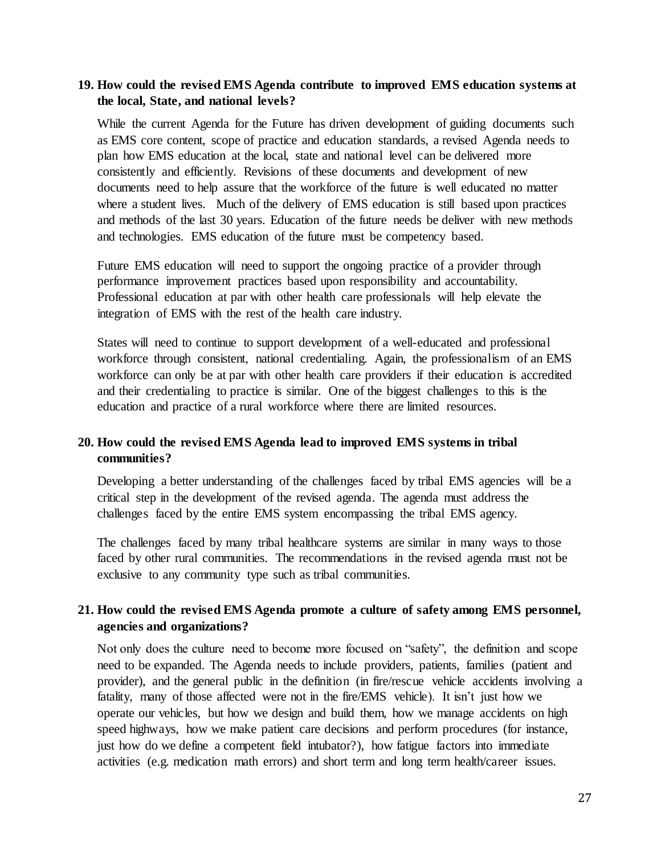#### **19. How could the revised EMS Agenda contribute to improved EMS education systems at the local, State, and national levels?**

While the current Agenda for the Future has driven development of guiding documents such as EMS core content, scope of practice and education standards, a revised Agenda needs to plan how EMS education at the local, state and national level can be delivered more consistently and efficiently. Revisions of these documents and development of new documents need to help assure that the workforce of the future is well educated no matter where a student lives. Much of the delivery of EMS education is still based upon practices and methods of the last 30 years. Education of the future needs be deliver with new methods and technologies. EMS education of the future must be competency based.

Future EMS education will need to support the ongoing practice of a provider through performance improvement practices based upon responsibility and accountability. Professional education at par with other health care professionals will help elevate the integration of EMS with the rest of the health care industry.

States will need to continue to support development of a well-educated and professional workforce through consistent, national credentialing. Again, the professionalism of an EMS workforce can only be at par with other health care providers if their education is accredited and their credentialing to practice is similar. One of the biggest challenges to this is the education and practice of a rural workforce where there are limited resources.

### **20. How could the revised EMS Agenda lead to improved EMS systems in tribal communities?**

Developing a better understanding of the challenges faced by tribal EMS agencies will be a critical step in the development of the revised agenda. The agenda must address the challenges faced by the entire EMS system encompassing the tribal EMS agency.

The challenges faced by many tribal healthcare systems are similar in many ways to those faced by other rural communities. The recommendations in the revised agenda must not be exclusive to any community type such as tribal communities.

#### **21. How could the revised EMS Agenda promote a culture of safety among EMS personnel, agencies and organizations?**

Not only does the culture need to become more focused on "safety", the definition and scope need to be expanded. The Agenda needs to include providers, patients, families (patient and provider), and the general public in the definition (in fire/rescue vehicle accidents involving a fatality, many of those affected were not in the fire/EMS vehicle). It isn't just how we operate our vehicles, but how we design and build them, how we manage accidents on high speed highways, how we make patient care decisions and perform procedures (for instance, just how do we define a competent field intubator?), how fatigue factors into immediate activities (e.g. medication math errors) and short term and long term health/career issues.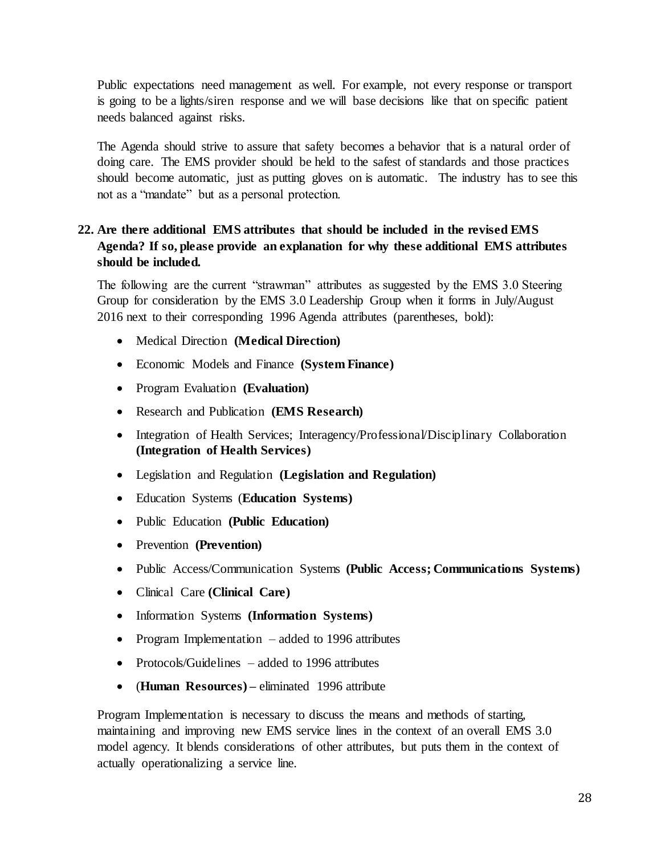Public expectations need management as well. For example, not every response or transport is going to be a lights/siren response and we will base decisions like that on specific patient needs balanced against risks.

The Agenda should strive to assure that safety becomes a behavior that is a natural order of doing care. The EMS provider should be held to the safest of standards and those practices should become automatic, just as putting gloves on is automatic. The industry has to see this not as a "mandate" but as a personal protection.

### **22. Are there additional EMS attributes that should be included in the revised EMS Agenda? If so, please provide an explanation for why these additional EMS attributes should be included.**

The following are the current "strawman" attributes as suggested by the EMS 3.0 Steering Group for consideration by the EMS 3.0 Leadership Group when it forms in July/August 2016 next to their corresponding 1996 Agenda attributes (parentheses, bold):

- Medical Direction **(Medical Direction)**
- Economic Models and Finance **(System Finance)**
- Program Evaluation **(Evaluation)**
- Research and Publication **(EMS Research)**
- Integration of Health Services; Interagency/Professional/Disciplinary Collaboration **(Integration of Health Services)**
- Legislation and Regulation **(Legislation and Regulation)**
- Education Systems (**Education Systems)**
- Public Education **(Public Education)**
- Prevention **(Prevention)**
- Public Access/Communication Systems **(Public Access; Communications Systems)**
- Clinical Care **(Clinical Care)**
- Information Systems (Information Systems)
- Program Implementation added to 1996 attributes
- Protocols/Guidelines added to 1996 attributes
- (**Human Resources) –** eliminated 1996 attribute

Program Implementation is necessary to discuss the means and methods of starting, maintaining and improving new EMS service lines in the context of an overall EMS 3.0 model agency. It blends considerations of other attributes, but puts them in the context of actually operationalizing a service line.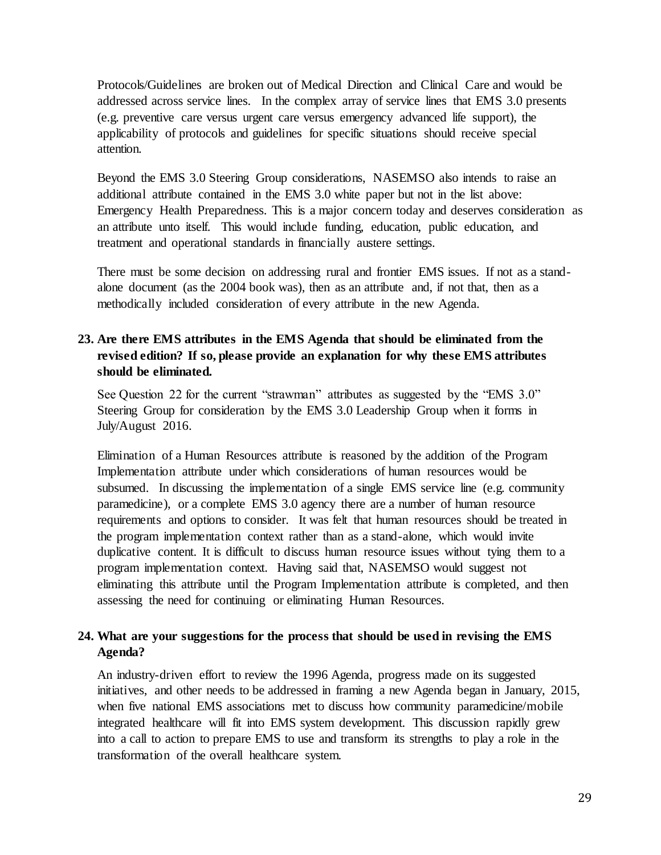Protocols/Guidelines are broken out of Medical Direction and Clinical Care and would be addressed across service lines. In the complex array of service lines that EMS 3.0 presents (e.g. preventive care versus urgent care versus emergency advanced life support), the applicability of protocols and guidelines for specific situations should receive special attention.

Beyond the EMS 3.0 Steering Group considerations, NASEMSO also intends to raise an additional attribute contained in the EMS 3.0 white paper but not in the list above: Emergency Health Preparedness. This is a major concern today and deserves consideration as an attribute unto itself. This would include funding, education, public education, and treatment and operational standards in financially austere settings.

There must be some decision on addressing rural and frontier EMS issues. If not as a standalone document (as the 2004 book was), then as an attribute and, if not that, then as a methodically included consideration of every attribute in the new Agenda.

# **23. Are there EMS attributes in the EMS Agenda that should be eliminated from the revised edition? If so, please provide an explanation for why these EMS attributes should be eliminated.**

See Question 22 for the current "strawman" attributes as suggested by the "EMS 3.0" Steering Group for consideration by the EMS 3.0 Leadership Group when it forms in July/August 2016.

Elimination of a Human Resources attribute is reasoned by the addition of the Program Implementation attribute under which considerations of human resources would be subsumed. In discussing the implementation of a single EMS service line (e.g. community paramedicine), or a complete EMS 3.0 agency there are a number of human resource requirements and options to consider. It was felt that human resources should be treated in the program implementation context rather than as a stand-alone, which would invite duplicative content. It is difficult to discuss human resource issues without tying them to a program implementation context. Having said that, NASEMSO would suggest not eliminating this attribute until the Program Implementation attribute is completed, and then assessing the need for continuing or eliminating Human Resources.

### **24. What are your suggestions for the process that should be used in revising the EMS Agenda?**

An industry-driven effort to review the 1996 Agenda, progress made on its suggested initiatives, and other needs to be addressed in framing a new Agenda began in January, 2015, when five national EMS associations met to discuss how community paramedicine/mobile integrated healthcare will fit into EMS system development. This discussion rapidly grew into a call to action to prepare EMS to use and transform its strengths to play a role in the transformation of the overall healthcare system.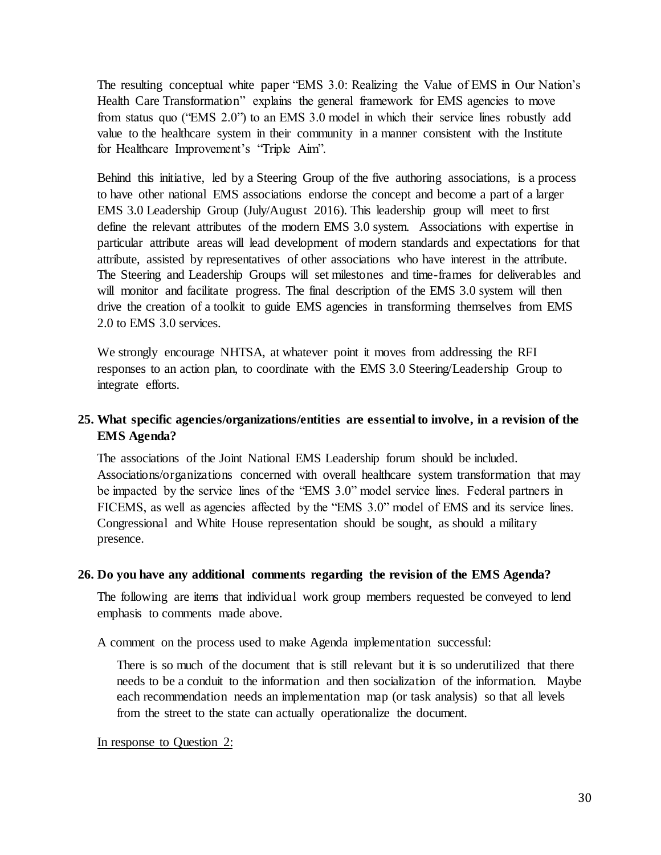The resulting conceptual white paper "EMS 3.0: Realizing the Value of EMS in Our Nation's Health Care Transformation" explains the general framework for EMS agencies to move from status quo ("EMS 2.0") to an EMS 3.0 model in which their service lines robustly add value to the healthcare system in their community in a manner consistent with the Institute for Healthcare Improvement's "Triple Aim".

Behind this initiative, led by a Steering Group of the five authoring associations, is a process to have other national EMS associations endorse the concept and become a part of a larger EMS 3.0 Leadership Group (July/August 2016). This leadership group will meet to first define the relevant attributes of the modern EMS 3.0 system. Associations with expertise in particular attribute areas will lead development of modern standards and expectations for that attribute, assisted by representatives of other associations who have interest in the attribute. The Steering and Leadership Groups will set milestones and time-frames for deliverables and will monitor and facilitate progress. The final description of the EMS 3.0 system will then drive the creation of a toolkit to guide EMS agencies in transforming themselves from EMS 2.0 to EMS 3.0 services.

We strongly encourage NHTSA, at whatever point it moves from addressing the RFI responses to an action plan, to coordinate with the EMS 3.0 Steering/Leadership Group to integrate efforts.

# **25. What specific agencies/organizations/entities are essential to involve, in a revision of the EMS Agenda?**

The associations of the Joint National EMS Leadership forum should be included. Associations/organizations concerned with overall healthcare system transformation that may be impacted by the service lines of the "EMS 3.0" model service lines. Federal partners in FICEMS, as well as agencies affected by the "EMS 3.0" model of EMS and its service lines. Congressional and White House representation should be sought, as should a military presence.

#### **26. Do you have any additional comments regarding the revision of the EMS Agenda?**

The following are items that individual work group members requested be conveyed to lend emphasis to comments made above.

A comment on the process used to make Agenda implementation successful:

There is so much of the document that is still relevant but it is so underutilized that there needs to be a conduit to the information and then socialization of the information. Maybe each recommendation needs an implementation map (or task analysis) so that all levels from the street to the state can actually operationalize the document.

In response to Question 2: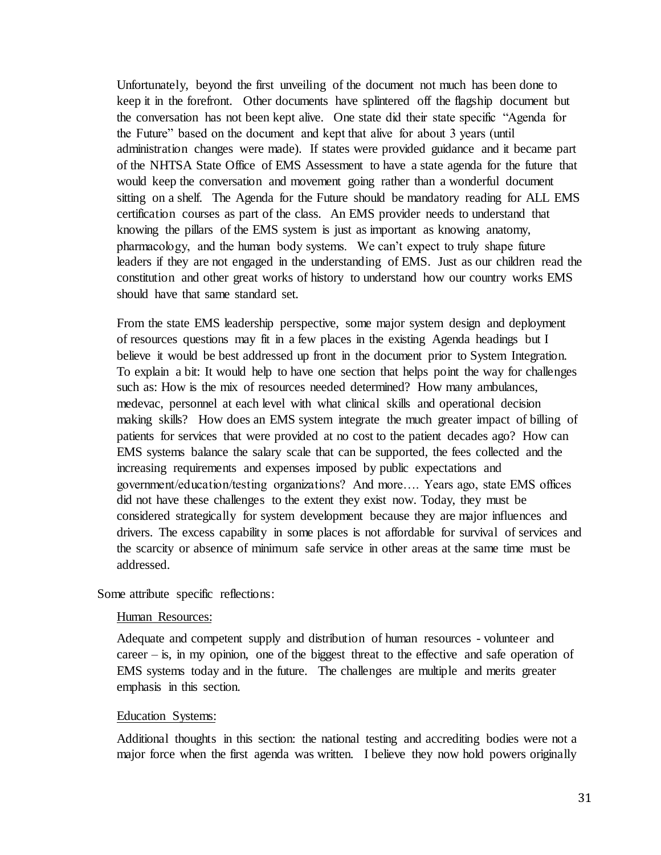Unfortunately, beyond the first unveiling of the document not much has been done to keep it in the forefront. Other documents have splintered off the flagship document but the conversation has not been kept alive. One state did their state specific "Agenda for the Future" based on the document and kept that alive for about 3 years (until administration changes were made). If states were provided guidance and it became part of the NHTSA State Office of EMS Assessment to have a state agenda for the future that would keep the conversation and movement going rather than a wonderful document sitting on a shelf. The Agenda for the Future should be mandatory reading for ALL EMS certification courses as part of the class. An EMS provider needs to understand that knowing the pillars of the EMS system is just as important as knowing anatomy, pharmacology, and the human body systems. We can't expect to truly shape future leaders if they are not engaged in the understanding of EMS. Just as our children read the constitution and other great works of history to understand how our country works EMS should have that same standard set.

From the state EMS leadership perspective, some major system design and deployment of resources questions may fit in a few places in the existing Agenda headings but I believe it would be best addressed up front in the document prior to System Integration. To explain a bit: It would help to have one section that helps point the way for challenges such as: How is the mix of resources needed determined? How many ambulances, medevac, personnel at each level with what clinical skills and operational decision making skills? How does an EMS system integrate the much greater impact of billing of patients for services that were provided at no cost to the patient decades ago? How can EMS systems balance the salary scale that can be supported, the fees collected and the increasing requirements and expenses imposed by public expectations and government/education/testing organizations? And more…. Years ago, state EMS offices did not have these challenges to the extent they exist now. Today, they must be considered strategically for system development because they are major influences and drivers. The excess capability in some places is not affordable for survival of services and the scarcity or absence of minimum safe service in other areas at the same time must be addressed.

Some attribute specific reflections:

#### Human Resources:

Adequate and competent supply and distribution of human resources - volunteer and career  $-$  is, in my opinion, one of the biggest threat to the effective and safe operation of EMS systems today and in the future. The challenges are multiple and merits greater emphasis in this section.

#### Education Systems:

Additional thoughts in this section: the national testing and accrediting bodies were not a major force when the first agenda was written. I believe they now hold powers originally